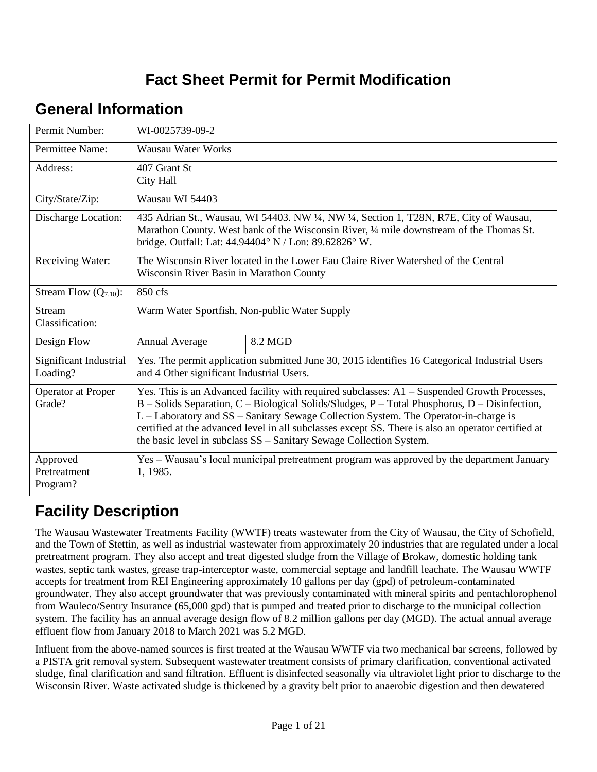# **Fact Sheet Permit for Permit Modification**

# **General Information**

| Permit Number:                       | WI-0025739-09-2                                                                                                                                                                                                                                                                                                                                                                                                                                                       |                                                                                                |  |  |  |
|--------------------------------------|-----------------------------------------------------------------------------------------------------------------------------------------------------------------------------------------------------------------------------------------------------------------------------------------------------------------------------------------------------------------------------------------------------------------------------------------------------------------------|------------------------------------------------------------------------------------------------|--|--|--|
| Permittee Name:                      | Wausau Water Works                                                                                                                                                                                                                                                                                                                                                                                                                                                    |                                                                                                |  |  |  |
| Address:                             | 407 Grant St<br>City Hall                                                                                                                                                                                                                                                                                                                                                                                                                                             |                                                                                                |  |  |  |
| City/State/Zip:                      | Wausau WI 54403                                                                                                                                                                                                                                                                                                                                                                                                                                                       |                                                                                                |  |  |  |
| Discharge Location:                  | 435 Adrian St., Wausau, WI 54403. NW 1/4, NW 1/4, Section 1, T28N, R7E, City of Wausau,<br>Marathon County. West bank of the Wisconsin River, 1/4 mile downstream of the Thomas St.<br>bridge. Outfall: Lat: 44.94404° N / Lon: 89.62826° W.                                                                                                                                                                                                                          |                                                                                                |  |  |  |
| Receiving Water:                     | The Wisconsin River located in the Lower Eau Claire River Watershed of the Central<br>Wisconsin River Basin in Marathon County                                                                                                                                                                                                                                                                                                                                        |                                                                                                |  |  |  |
| Stream Flow $(Q_{7,10})$ :           | 850 cfs                                                                                                                                                                                                                                                                                                                                                                                                                                                               |                                                                                                |  |  |  |
| <b>Stream</b><br>Classification:     | Warm Water Sportfish, Non-public Water Supply                                                                                                                                                                                                                                                                                                                                                                                                                         |                                                                                                |  |  |  |
| Design Flow                          | Annual Average                                                                                                                                                                                                                                                                                                                                                                                                                                                        | 8.2 MGD                                                                                        |  |  |  |
| Significant Industrial<br>Loading?   | and 4 Other significant Industrial Users.                                                                                                                                                                                                                                                                                                                                                                                                                             | Yes. The permit application submitted June 30, 2015 identifies 16 Categorical Industrial Users |  |  |  |
| <b>Operator at Proper</b><br>Grade?  | Yes. This is an Advanced facility with required subclasses: $A1 -$ Suspended Growth Processes,<br>B - Solids Separation, C - Biological Solids/Sludges, P - Total Phosphorus, D - Disinfection,<br>L - Laboratory and SS - Sanitary Sewage Collection System. The Operator-in-charge is<br>certified at the advanced level in all subclasses except SS. There is also an operator certified at<br>the basic level in subclass SS – Sanitary Sewage Collection System. |                                                                                                |  |  |  |
| Approved<br>Pretreatment<br>Program? | 1, 1985.                                                                                                                                                                                                                                                                                                                                                                                                                                                              | Yes - Wausau's local municipal pretreatment program was approved by the department January     |  |  |  |

# **Facility Description**

The Wausau Wastewater Treatments Facility (WWTF) treats wastewater from the City of Wausau, the City of Schofield, and the Town of Stettin, as well as industrial wastewater from approximately 20 industries that are regulated under a local pretreatment program. They also accept and treat digested sludge from the Village of Brokaw, domestic holding tank wastes, septic tank wastes, grease trap-interceptor waste, commercial septage and landfill leachate. The Wausau WWTF accepts for treatment from REI Engineering approximately 10 gallons per day (gpd) of petroleum-contaminated groundwater. They also accept groundwater that was previously contaminated with mineral spirits and pentachlorophenol from Wauleco/Sentry Insurance (65,000 gpd) that is pumped and treated prior to discharge to the municipal collection system. The facility has an annual average design flow of 8.2 million gallons per day (MGD). The actual annual average effluent flow from January 2018 to March 2021 was 5.2 MGD.

Influent from the above-named sources is first treated at the Wausau WWTF via two mechanical bar screens, followed by a PISTA grit removal system. Subsequent wastewater treatment consists of primary clarification, conventional activated sludge, final clarification and sand filtration. Effluent is disinfected seasonally via ultraviolet light prior to discharge to the Wisconsin River. Waste activated sludge is thickened by a gravity belt prior to anaerobic digestion and then dewatered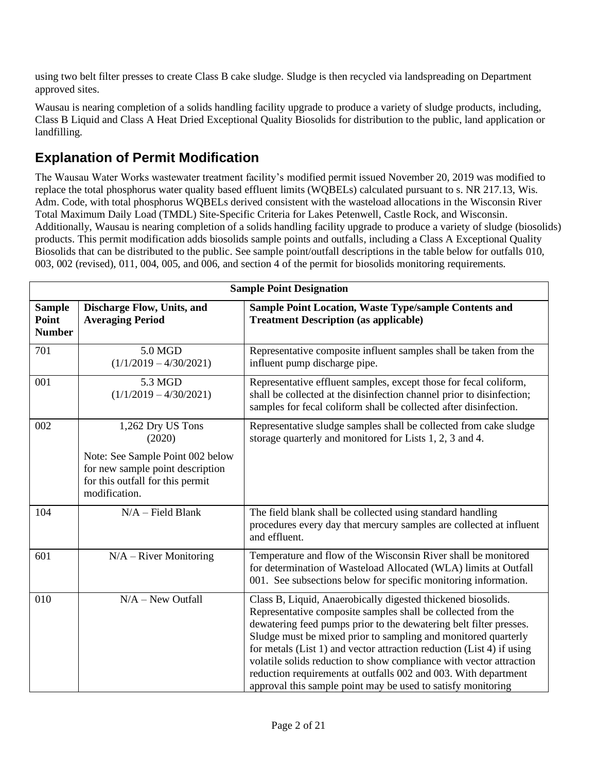using two belt filter presses to create Class B cake sludge. Sludge is then recycled via landspreading on Department approved sites.

Wausau is nearing completion of a solids handling facility upgrade to produce a variety of sludge products, including, Class B Liquid and Class A Heat Dried Exceptional Quality Biosolids for distribution to the public, land application or landfilling.

### **Explanation of Permit Modification**

The Wausau Water Works wastewater treatment facility's modified permit issued November 20, 2019 was modified to replace the total phosphorus water quality based effluent limits (WQBELs) calculated pursuant to s. NR 217.13, Wis. Adm. Code, with total phosphorus WQBELs derived consistent with the wasteload allocations in the Wisconsin River Total Maximum Daily Load (TMDL) Site-Specific Criteria for Lakes Petenwell, Castle Rock, and Wisconsin. Additionally, Wausau is nearing completion of a solids handling facility upgrade to produce a variety of sludge (biosolids) products. This permit modification adds biosolids sample points and outfalls, including a Class A Exceptional Quality Biosolids that can be distributed to the public. See sample point/outfall descriptions in the table below for outfalls 010, 003, 002 (revised), 011, 004, 005, and 006, and section 4 of the permit for biosolids monitoring requirements.

|                                         | <b>Sample Point Designation</b>                                                                                                                          |                                                                                                                                                                                                                                                                                                                                                                                                                                                                                                                                                         |  |  |  |  |
|-----------------------------------------|----------------------------------------------------------------------------------------------------------------------------------------------------------|---------------------------------------------------------------------------------------------------------------------------------------------------------------------------------------------------------------------------------------------------------------------------------------------------------------------------------------------------------------------------------------------------------------------------------------------------------------------------------------------------------------------------------------------------------|--|--|--|--|
| <b>Sample</b><br>Point<br><b>Number</b> | Discharge Flow, Units, and<br><b>Averaging Period</b>                                                                                                    | Sample Point Location, Waste Type/sample Contents and<br><b>Treatment Description (as applicable)</b>                                                                                                                                                                                                                                                                                                                                                                                                                                                   |  |  |  |  |
| 701                                     | 5.0 MGD<br>$(1/1/2019 - 4/30/2021)$                                                                                                                      | Representative composite influent samples shall be taken from the<br>influent pump discharge pipe.                                                                                                                                                                                                                                                                                                                                                                                                                                                      |  |  |  |  |
| 001                                     | 5.3 MGD<br>$(1/1/2019 - 4/30/2021)$                                                                                                                      | Representative effluent samples, except those for fecal coliform,<br>shall be collected at the disinfection channel prior to disinfection;<br>samples for fecal coliform shall be collected after disinfection.                                                                                                                                                                                                                                                                                                                                         |  |  |  |  |
| 002                                     | 1,262 Dry US Tons<br>(2020)<br>Note: See Sample Point 002 below<br>for new sample point description<br>for this outfall for this permit<br>modification. | Representative sludge samples shall be collected from cake sludge<br>storage quarterly and monitored for Lists 1, 2, 3 and 4.                                                                                                                                                                                                                                                                                                                                                                                                                           |  |  |  |  |
| 104                                     | $N/A$ – Field Blank                                                                                                                                      | The field blank shall be collected using standard handling<br>procedures every day that mercury samples are collected at influent<br>and effluent.                                                                                                                                                                                                                                                                                                                                                                                                      |  |  |  |  |
| 601                                     | $N/A - River$ Monitoring                                                                                                                                 | Temperature and flow of the Wisconsin River shall be monitored<br>for determination of Wasteload Allocated (WLA) limits at Outfall<br>001. See subsections below for specific monitoring information.                                                                                                                                                                                                                                                                                                                                                   |  |  |  |  |
| 010                                     | $N/A - New$ Outfall                                                                                                                                      | Class B, Liquid, Anaerobically digested thickened biosolids.<br>Representative composite samples shall be collected from the<br>dewatering feed pumps prior to the dewatering belt filter presses.<br>Sludge must be mixed prior to sampling and monitored quarterly<br>for metals (List 1) and vector attraction reduction (List 4) if using<br>volatile solids reduction to show compliance with vector attraction<br>reduction requirements at outfalls 002 and 003. With department<br>approval this sample point may be used to satisfy monitoring |  |  |  |  |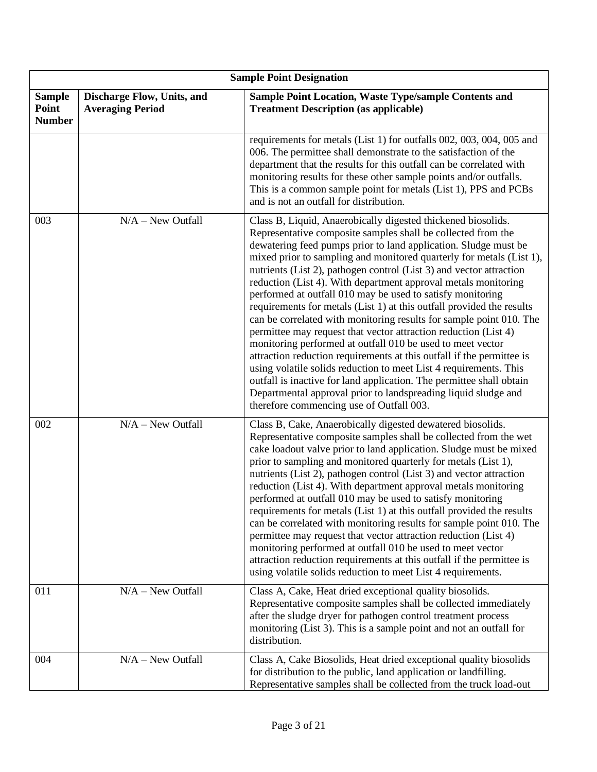|                                         | <b>Sample Point Designation</b>                       |                                                                                                                                                                                                                                                                                                                                                                                                                                                                                                                                                                                                                                                                                                                                                                                                                                                                                                                                                                                                                                                                                                     |  |  |  |  |
|-----------------------------------------|-------------------------------------------------------|-----------------------------------------------------------------------------------------------------------------------------------------------------------------------------------------------------------------------------------------------------------------------------------------------------------------------------------------------------------------------------------------------------------------------------------------------------------------------------------------------------------------------------------------------------------------------------------------------------------------------------------------------------------------------------------------------------------------------------------------------------------------------------------------------------------------------------------------------------------------------------------------------------------------------------------------------------------------------------------------------------------------------------------------------------------------------------------------------------|--|--|--|--|
| <b>Sample</b><br>Point<br><b>Number</b> | Discharge Flow, Units, and<br><b>Averaging Period</b> | <b>Sample Point Location, Waste Type/sample Contents and</b><br><b>Treatment Description (as applicable)</b>                                                                                                                                                                                                                                                                                                                                                                                                                                                                                                                                                                                                                                                                                                                                                                                                                                                                                                                                                                                        |  |  |  |  |
|                                         |                                                       | requirements for metals (List 1) for outfalls 002, 003, 004, 005 and<br>006. The permittee shall demonstrate to the satisfaction of the<br>department that the results for this outfall can be correlated with<br>monitoring results for these other sample points and/or outfalls.<br>This is a common sample point for metals (List 1), PPS and PCBs<br>and is not an outfall for distribution.                                                                                                                                                                                                                                                                                                                                                                                                                                                                                                                                                                                                                                                                                                   |  |  |  |  |
| 003                                     | $N/A - New$ Outfall                                   | Class B, Liquid, Anaerobically digested thickened biosolids.<br>Representative composite samples shall be collected from the<br>dewatering feed pumps prior to land application. Sludge must be<br>mixed prior to sampling and monitored quarterly for metals (List 1),<br>nutrients (List 2), pathogen control (List 3) and vector attraction<br>reduction (List 4). With department approval metals monitoring<br>performed at outfall 010 may be used to satisfy monitoring<br>requirements for metals (List 1) at this outfall provided the results<br>can be correlated with monitoring results for sample point 010. The<br>permittee may request that vector attraction reduction (List 4)<br>monitoring performed at outfall 010 be used to meet vector<br>attraction reduction requirements at this outfall if the permittee is<br>using volatile solids reduction to meet List 4 requirements. This<br>outfall is inactive for land application. The permittee shall obtain<br>Departmental approval prior to landspreading liquid sludge and<br>therefore commencing use of Outfall 003. |  |  |  |  |
| 002                                     | $N/A - New$ Outfall                                   | Class B, Cake, Anaerobically digested dewatered biosolids.<br>Representative composite samples shall be collected from the wet<br>cake loadout valve prior to land application. Sludge must be mixed<br>prior to sampling and monitored quarterly for metals (List 1),<br>nutrients (List 2), pathogen control (List 3) and vector attraction<br>reduction (List 4). With department approval metals monitoring<br>performed at outfall 010 may be used to satisfy monitoring<br>requirements for metals (List 1) at this outfall provided the results<br>can be correlated with monitoring results for sample point 010. The<br>permittee may request that vector attraction reduction (List 4)<br>monitoring performed at outfall 010 be used to meet vector<br>attraction reduction requirements at this outfall if the permittee is<br>using volatile solids reduction to meet List 4 requirements.                                                                                                                                                                                             |  |  |  |  |
| 011                                     | $N/A - New$ Outfall                                   | Class A, Cake, Heat dried exceptional quality biosolids.<br>Representative composite samples shall be collected immediately<br>after the sludge dryer for pathogen control treatment process<br>monitoring (List 3). This is a sample point and not an outfall for<br>distribution.                                                                                                                                                                                                                                                                                                                                                                                                                                                                                                                                                                                                                                                                                                                                                                                                                 |  |  |  |  |
| 004                                     | $N/A - New$ Outfall                                   | Class A, Cake Biosolids, Heat dried exceptional quality biosolids<br>for distribution to the public, land application or landfilling.<br>Representative samples shall be collected from the truck load-out                                                                                                                                                                                                                                                                                                                                                                                                                                                                                                                                                                                                                                                                                                                                                                                                                                                                                          |  |  |  |  |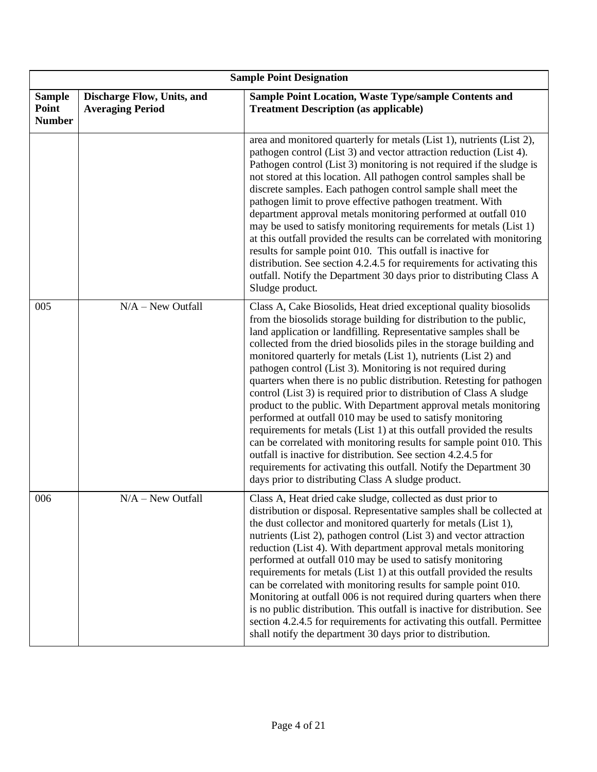|                                         | <b>Sample Point Designation</b>                       |                                                                                                                                                                                                                                                                                                                                                                                                                                                                                                                                                                                                                                                                                                                                                                                                                                                                                                                                                                                                                                                           |  |  |  |  |
|-----------------------------------------|-------------------------------------------------------|-----------------------------------------------------------------------------------------------------------------------------------------------------------------------------------------------------------------------------------------------------------------------------------------------------------------------------------------------------------------------------------------------------------------------------------------------------------------------------------------------------------------------------------------------------------------------------------------------------------------------------------------------------------------------------------------------------------------------------------------------------------------------------------------------------------------------------------------------------------------------------------------------------------------------------------------------------------------------------------------------------------------------------------------------------------|--|--|--|--|
| <b>Sample</b><br>Point<br><b>Number</b> | Discharge Flow, Units, and<br><b>Averaging Period</b> | Sample Point Location, Waste Type/sample Contents and<br><b>Treatment Description (as applicable)</b>                                                                                                                                                                                                                                                                                                                                                                                                                                                                                                                                                                                                                                                                                                                                                                                                                                                                                                                                                     |  |  |  |  |
|                                         |                                                       | area and monitored quarterly for metals (List 1), nutrients (List 2),<br>pathogen control (List 3) and vector attraction reduction (List 4).<br>Pathogen control (List 3) monitoring is not required if the sludge is<br>not stored at this location. All pathogen control samples shall be<br>discrete samples. Each pathogen control sample shall meet the<br>pathogen limit to prove effective pathogen treatment. With<br>department approval metals monitoring performed at outfall 010<br>may be used to satisfy monitoring requirements for metals (List 1)<br>at this outfall provided the results can be correlated with monitoring<br>results for sample point 010. This outfall is inactive for<br>distribution. See section 4.2.4.5 for requirements for activating this<br>outfall. Notify the Department 30 days prior to distributing Class A<br>Sludge product.                                                                                                                                                                           |  |  |  |  |
| 005                                     | $N/A - New$ Outfall                                   | Class A, Cake Biosolids, Heat dried exceptional quality biosolids<br>from the biosolids storage building for distribution to the public,<br>land application or landfilling. Representative samples shall be<br>collected from the dried biosolids piles in the storage building and<br>monitored quarterly for metals (List 1), nutrients (List 2) and<br>pathogen control (List 3). Monitoring is not required during<br>quarters when there is no public distribution. Retesting for pathogen<br>control (List 3) is required prior to distribution of Class A sludge<br>product to the public. With Department approval metals monitoring<br>performed at outfall 010 may be used to satisfy monitoring<br>requirements for metals (List 1) at this outfall provided the results<br>can be correlated with monitoring results for sample point 010. This<br>outfall is inactive for distribution. See section 4.2.4.5 for<br>requirements for activating this outfall. Notify the Department 30<br>days prior to distributing Class A sludge product. |  |  |  |  |
| 006                                     | $N/A - New$ Outfall                                   | Class A, Heat dried cake sludge, collected as dust prior to<br>distribution or disposal. Representative samples shall be collected at<br>the dust collector and monitored quarterly for metals (List 1),<br>nutrients (List 2), pathogen control (List 3) and vector attraction<br>reduction (List 4). With department approval metals monitoring<br>performed at outfall 010 may be used to satisfy monitoring<br>requirements for metals (List 1) at this outfall provided the results<br>can be correlated with monitoring results for sample point 010.<br>Monitoring at outfall 006 is not required during quarters when there<br>is no public distribution. This outfall is inactive for distribution. See<br>section 4.2.4.5 for requirements for activating this outfall. Permittee<br>shall notify the department 30 days prior to distribution.                                                                                                                                                                                                 |  |  |  |  |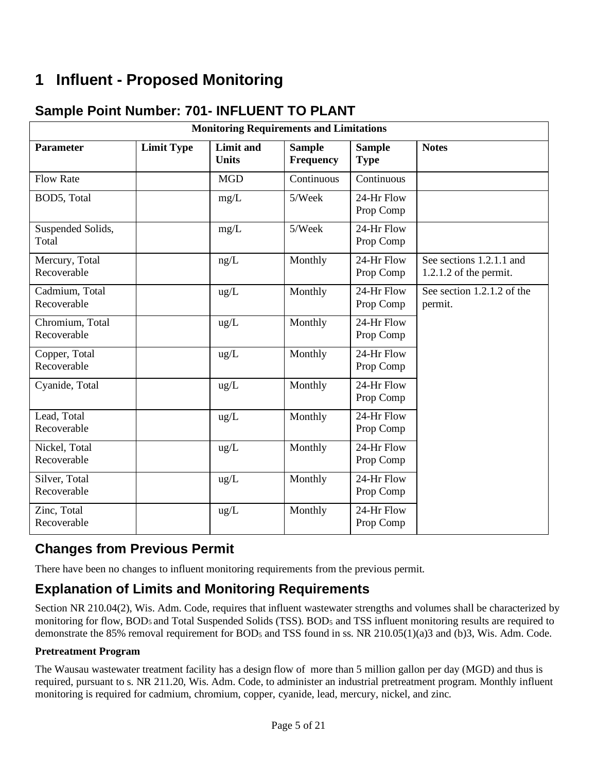# **1 Influent - Proposed Monitoring**

## **Sample Point Number: 701- INFLUENT TO PLANT**

| <b>Monitoring Requirements and Limitations</b> |                   |                                  |                                   |                              |                                                      |  |
|------------------------------------------------|-------------------|----------------------------------|-----------------------------------|------------------------------|------------------------------------------------------|--|
| <b>Parameter</b>                               | <b>Limit Type</b> | <b>Limit and</b><br><b>Units</b> | <b>Sample</b><br><b>Frequency</b> | <b>Sample</b><br><b>Type</b> | <b>Notes</b>                                         |  |
| <b>Flow Rate</b>                               |                   | <b>MGD</b>                       | Continuous                        | Continuous                   |                                                      |  |
| BOD5, Total                                    |                   | mg/L                             | 5/Week                            | 24-Hr Flow<br>Prop Comp      |                                                      |  |
| Suspended Solids,<br>Total                     |                   | mg/L                             | 5/Week                            | 24-Hr Flow<br>Prop Comp      |                                                      |  |
| Mercury, Total<br>Recoverable                  |                   | ng/L                             | Monthly                           | 24-Hr Flow<br>Prop Comp      | See sections 1.2.1.1 and<br>$1.2.1.2$ of the permit. |  |
| Cadmium, Total<br>Recoverable                  |                   | ug/L                             | Monthly                           | 24-Hr Flow<br>Prop Comp      | See section 1.2.1.2 of the<br>permit.                |  |
| Chromium, Total<br>Recoverable                 |                   | $\text{ug/L}$                    | Monthly                           | 24-Hr Flow<br>Prop Comp      |                                                      |  |
| Copper, Total<br>Recoverable                   |                   | $\text{ug/L}$                    | Monthly                           | 24-Hr Flow<br>Prop Comp      |                                                      |  |
| Cyanide, Total                                 |                   | $\text{ug/L}$                    | Monthly                           | 24-Hr Flow<br>Prop Comp      |                                                      |  |
| Lead, Total<br>Recoverable                     |                   | $\text{ug/L}$                    | Monthly                           | 24-Hr Flow<br>Prop Comp      |                                                      |  |
| Nickel, Total<br>Recoverable                   |                   | ug/L                             | Monthly                           | 24-Hr Flow<br>Prop Comp      |                                                      |  |
| Silver, Total<br>Recoverable                   |                   | ug/L                             | Monthly                           | 24-Hr Flow<br>Prop Comp      |                                                      |  |
| Zinc, Total<br>Recoverable                     |                   | $\text{ug/L}$                    | Monthly                           | 24-Hr Flow<br>Prop Comp      |                                                      |  |

## **Changes from Previous Permit**

There have been no changes to influent monitoring requirements from the previous permit.

### **Explanation of Limits and Monitoring Requirements**

Section NR 210.04(2), Wis. Adm. Code, requires that influent wastewater strengths and volumes shall be characterized by monitoring for flow, BOD<sub>5</sub> and Total Suspended Solids (TSS). BOD<sub>5</sub> and TSS influent monitoring results are required to demonstrate the 85% removal requirement for BOD<sub>5</sub> and TSS found in ss. NR 210.05(1)(a)3 and (b)3, Wis. Adm. Code.

#### **Pretreatment Program**

The Wausau wastewater treatment facility has a design flow of more than 5 million gallon per day (MGD) and thus is required, pursuant to s. NR 211.20, Wis. Adm. Code, to administer an industrial pretreatment program. Monthly influent monitoring is required for cadmium, chromium, copper, cyanide, lead, mercury, nickel, and zinc.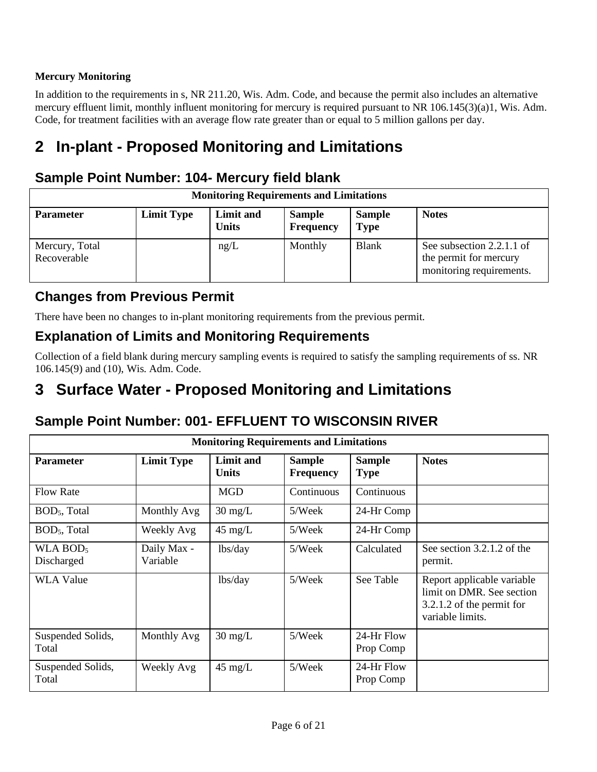#### **Mercury Monitoring**

In addition to the requirements in s, NR 211.20, Wis. Adm. Code, and because the permit also includes an alternative mercury effluent limit, monthly influent monitoring for mercury is required pursuant to NR 106.145(3)(a)1, Wis. Adm. Code, for treatment facilities with an average flow rate greater than or equal to 5 million gallons per day.

# **2 In-plant - Proposed Monitoring and Limitations**

### **Sample Point Number: 104- Mercury field blank**

| <b>Monitoring Requirements and Limitations</b> |                   |                           |                                   |                              |                                                                                 |  |
|------------------------------------------------|-------------------|---------------------------|-----------------------------------|------------------------------|---------------------------------------------------------------------------------|--|
| <b>Parameter</b>                               | <b>Limit Type</b> | Limit and<br><b>Units</b> | <b>Sample</b><br><b>Frequency</b> | <b>Sample</b><br><b>Type</b> | <b>Notes</b>                                                                    |  |
| Mercury, Total<br>Recoverable                  |                   | ng/L                      | Monthly                           | <b>Blank</b>                 | See subsection 2.2.1.1 of<br>the permit for mercury<br>monitoring requirements. |  |

### **Changes from Previous Permit**

There have been no changes to in-plant monitoring requirements from the previous permit.

### **Explanation of Limits and Monitoring Requirements**

Collection of a field blank during mercury sampling events is required to satisfy the sampling requirements of ss. NR 106.145(9) and (10), Wis. Adm. Code.

# **3 Surface Water - Proposed Monitoring and Limitations**

### **Sample Point Number: 001- EFFLUENT TO WISCONSIN RIVER**

| <b>Monitoring Requirements and Limitations</b> |                         |                           |                                   |                              |                                                                                                          |  |
|------------------------------------------------|-------------------------|---------------------------|-----------------------------------|------------------------------|----------------------------------------------------------------------------------------------------------|--|
| <b>Parameter</b>                               | <b>Limit Type</b>       | Limit and<br><b>Units</b> | <b>Sample</b><br><b>Frequency</b> | <b>Sample</b><br><b>Type</b> | <b>Notes</b>                                                                                             |  |
| <b>Flow Rate</b>                               |                         | <b>MGD</b>                | Continuous                        | Continuous                   |                                                                                                          |  |
| BOD <sub>5</sub> , Total                       | Monthly Avg             | $30 \text{ mg/L}$         | 5/Week                            | 24-Hr Comp                   |                                                                                                          |  |
| BOD <sub>5</sub> , Total                       | Weekly Avg              | $45 \text{ mg/L}$         | 5/Week                            | 24-Hr Comp                   |                                                                                                          |  |
| WLA $BOD5$<br>Discharged                       | Daily Max -<br>Variable | lbs/day                   | 5/Week                            | Calculated                   | See section 3.2.1.2 of the<br>permit.                                                                    |  |
| <b>WLA Value</b>                               |                         | lbs/day                   | 5/Week                            | See Table                    | Report applicable variable<br>limit on DMR. See section<br>3.2.1.2 of the permit for<br>variable limits. |  |
| Suspended Solids,<br>Total                     | Monthly Avg             | $30 \text{ mg/L}$         | 5/Week                            | 24-Hr Flow<br>Prop Comp      |                                                                                                          |  |
| Suspended Solids,<br>Total                     | Weekly Avg              | $45 \text{ mg/L}$         | 5/Week                            | 24-Hr Flow<br>Prop Comp      |                                                                                                          |  |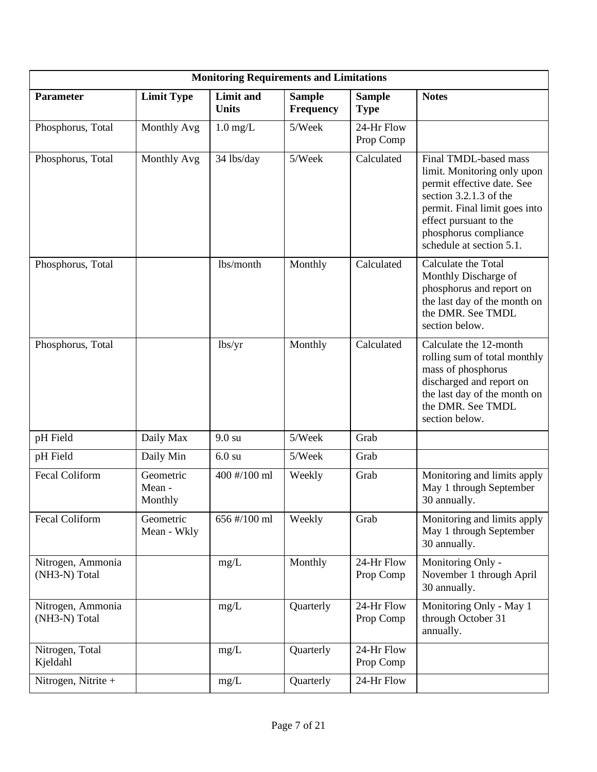|                                    |                                | <b>Monitoring Requirements and Limitations</b> |                                   |                              |                                                                                                                                                                                                                                |
|------------------------------------|--------------------------------|------------------------------------------------|-----------------------------------|------------------------------|--------------------------------------------------------------------------------------------------------------------------------------------------------------------------------------------------------------------------------|
| Parameter                          | <b>Limit Type</b>              | <b>Limit</b> and<br><b>Units</b>               | <b>Sample</b><br><b>Frequency</b> | <b>Sample</b><br><b>Type</b> | <b>Notes</b>                                                                                                                                                                                                                   |
| Phosphorus, Total                  | Monthly Avg                    | $1.0 \text{ mg/L}$                             | 5/Week                            | 24-Hr Flow<br>Prop Comp      |                                                                                                                                                                                                                                |
| Phosphorus, Total                  | Monthly Avg                    | 34 lbs/day                                     | 5/Week                            | Calculated                   | Final TMDL-based mass<br>limit. Monitoring only upon<br>permit effective date. See<br>section $3.2.1.3$ of the<br>permit. Final limit goes into<br>effect pursuant to the<br>phosphorus compliance<br>schedule at section 5.1. |
| Phosphorus, Total                  |                                | lbs/month                                      | Monthly                           | Calculated                   | Calculate the Total<br>Monthly Discharge of<br>phosphorus and report on<br>the last day of the month on<br>the DMR. See TMDL<br>section below.                                                                                 |
| Phosphorus, Total                  |                                | lbs/yr                                         | Monthly                           | Calculated                   | Calculate the 12-month<br>rolling sum of total monthly<br>mass of phosphorus<br>discharged and report on<br>the last day of the month on<br>the DMR. See TMDL<br>section below.                                                |
| pH Field                           | Daily Max                      | $9.0 \text{ su}$                               | 5/Week                            | Grab                         |                                                                                                                                                                                                                                |
| pH Field                           | Daily Min                      | $6.0 \text{ su}$                               | 5/Week                            | Grab                         |                                                                                                                                                                                                                                |
| Fecal Coliform                     | Geometric<br>Mean -<br>Monthly | 400 #/100 ml                                   | Weekly                            | Grab                         | Monitoring and limits apply<br>May 1 through September<br>30 annually.                                                                                                                                                         |
| Fecal Coliform                     | Geometric<br>Mean - Wkly       | 656 #/100 ml                                   | Weekly                            | Grab                         | Monitoring and limits apply<br>May 1 through September<br>30 annually.                                                                                                                                                         |
| Nitrogen, Ammonia<br>(NH3-N) Total |                                | mg/L                                           | Monthly                           | 24-Hr Flow<br>Prop Comp      | Monitoring Only -<br>November 1 through April<br>30 annually.                                                                                                                                                                  |
| Nitrogen, Ammonia<br>(NH3-N) Total |                                | mg/L                                           | Quarterly                         | 24-Hr Flow<br>Prop Comp      | Monitoring Only - May 1<br>through October 31<br>annually.                                                                                                                                                                     |
| Nitrogen, Total<br>Kjeldahl        |                                | mg/L                                           | Quarterly                         | 24-Hr Flow<br>Prop Comp      |                                                                                                                                                                                                                                |
| Nitrogen, Nitrite +                |                                | mg/L                                           | Quarterly                         | 24-Hr Flow                   |                                                                                                                                                                                                                                |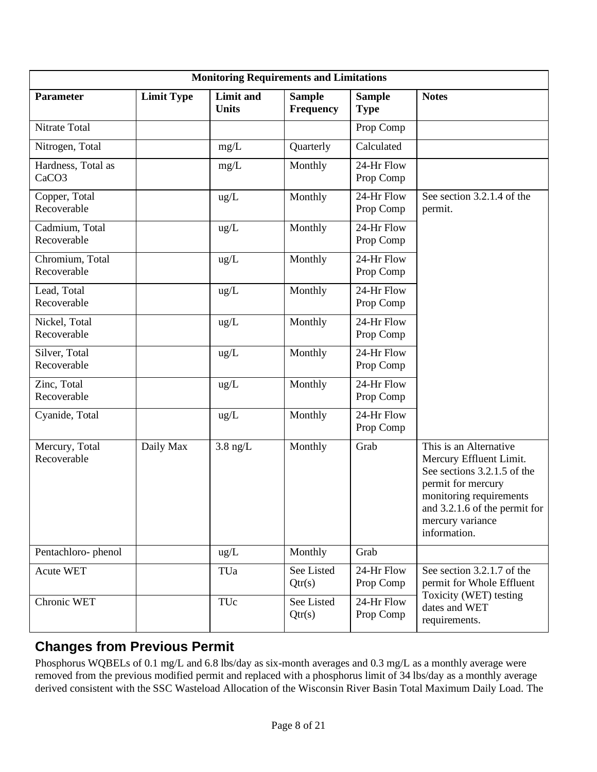| <b>Monitoring Requirements and Limitations</b> |                   |                                  |                                   |                              |                                                                                                                                                                                                        |  |
|------------------------------------------------|-------------------|----------------------------------|-----------------------------------|------------------------------|--------------------------------------------------------------------------------------------------------------------------------------------------------------------------------------------------------|--|
| Parameter                                      | <b>Limit Type</b> | <b>Limit and</b><br><b>Units</b> | <b>Sample</b><br><b>Frequency</b> | <b>Sample</b><br><b>Type</b> | <b>Notes</b>                                                                                                                                                                                           |  |
| Nitrate Total                                  |                   |                                  |                                   | Prop Comp                    |                                                                                                                                                                                                        |  |
| Nitrogen, Total                                |                   | mg/L                             | Quarterly                         | Calculated                   |                                                                                                                                                                                                        |  |
| Hardness, Total as<br>CaCO <sub>3</sub>        |                   | mg/L                             | Monthly                           | 24-Hr Flow<br>Prop Comp      |                                                                                                                                                                                                        |  |
| Copper, Total<br>Recoverable                   |                   | ug/L                             | Monthly                           | $24$ -Hr Flow<br>Prop Comp   | See section 3.2.1.4 of the<br>permit.                                                                                                                                                                  |  |
| Cadmium, Total<br>Recoverable                  |                   | ug/L                             | Monthly                           | 24-Hr Flow<br>Prop Comp      |                                                                                                                                                                                                        |  |
| Chromium, Total<br>Recoverable                 |                   | ug/L                             | Monthly                           | 24-Hr Flow<br>Prop Comp      |                                                                                                                                                                                                        |  |
| Lead, Total<br>Recoverable                     |                   | ug/L                             | Monthly                           | 24-Hr Flow<br>Prop Comp      |                                                                                                                                                                                                        |  |
| Nickel, Total<br>Recoverable                   |                   | ug/L                             | Monthly                           | 24-Hr Flow<br>Prop Comp      |                                                                                                                                                                                                        |  |
| Silver, Total<br>Recoverable                   |                   | ug/L                             | Monthly                           | 24-Hr Flow<br>Prop Comp      |                                                                                                                                                                                                        |  |
| Zinc, Total<br>Recoverable                     |                   | ug/L                             | Monthly                           | 24-Hr Flow<br>Prop Comp      |                                                                                                                                                                                                        |  |
| Cyanide, Total                                 |                   | ug/L                             | Monthly                           | 24-Hr Flow<br>Prop Comp      |                                                                                                                                                                                                        |  |
| Mercury, Total<br>Recoverable                  | Daily Max         | $3.8$ ng/L                       | Monthly                           | Grab                         | This is an Alternative<br>Mercury Effluent Limit.<br>See sections 3.2.1.5 of the<br>permit for mercury<br>monitoring requirements<br>and 3.2.1.6 of the permit for<br>mercury variance<br>information. |  |
| Pentachloro-phenol                             |                   | ug/L                             | Monthly                           | Grab                         |                                                                                                                                                                                                        |  |
| <b>Acute WET</b>                               |                   | TUa                              | See Listed<br>Qtr(s)              | 24-Hr Flow<br>Prop Comp      | See section 3.2.1.7 of the<br>permit for Whole Effluent                                                                                                                                                |  |
| Chronic WET                                    |                   | TUc                              | See Listed<br>Qtr(s)              | 24-Hr Flow<br>Prop Comp      | Toxicity (WET) testing<br>dates and WET<br>requirements.                                                                                                                                               |  |

# **Changes from Previous Permit**

Phosphorus WQBELs of 0.1 mg/L and 6.8 lbs/day as six-month averages and 0.3 mg/L as a monthly average were removed from the previous modified permit and replaced with a phosphorus limit of 34 lbs/day as a monthly average derived consistent with the SSC Wasteload Allocation of the Wisconsin River Basin Total Maximum Daily Load. The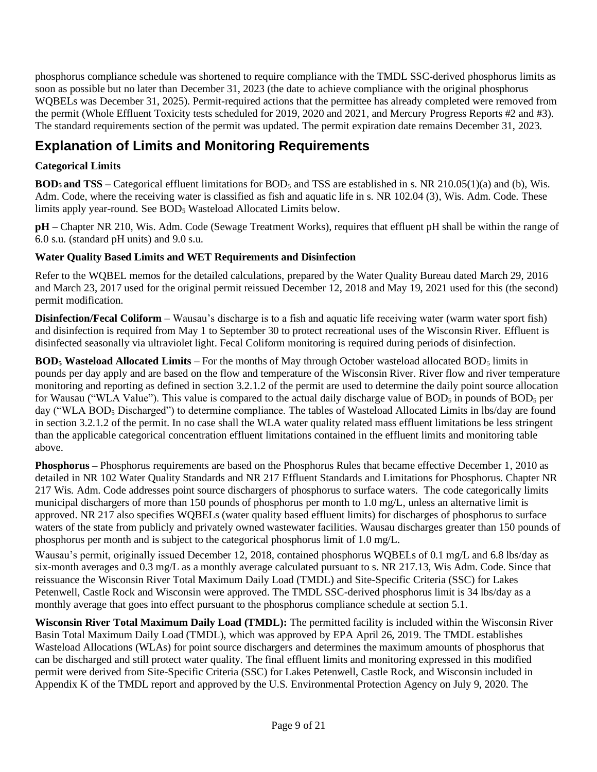phosphorus compliance schedule was shortened to require compliance with the TMDL SSC-derived phosphorus limits as soon as possible but no later than December 31, 2023 (the date to achieve compliance with the original phosphorus WQBELs was December 31, 2025). Permit-required actions that the permittee has already completed were removed from the permit (Whole Effluent Toxicity tests scheduled for 2019, 2020 and 2021, and Mercury Progress Reports #2 and #3). The standard requirements section of the permit was updated. The permit expiration date remains December 31, 2023.

## **Explanation of Limits and Monitoring Requirements**

#### **Categorical Limits**

**BOD5 and TSS –** Categorical effluent limitations for BOD<sup>5</sup> and TSS are established in s. NR 210.05(1)(a) and (b), Wis. Adm. Code, where the receiving water is classified as fish and aquatic life in s. NR 102.04 (3), Wis. Adm. Code. These limits apply year-round. See BOD<sup>5</sup> Wasteload Allocated Limits below.

**pH –** Chapter NR 210, Wis. Adm. Code (Sewage Treatment Works), requires that effluent pH shall be within the range of 6.0 s.u. (standard pH units) and 9.0 s.u.

#### **Water Quality Based Limits and WET Requirements and Disinfection**

Refer to the WQBEL memos for the detailed calculations, prepared by the Water Quality Bureau dated March 29, 2016 and March 23, 2017 used for the original permit reissued December 12, 2018 and May 19, 2021 used for this (the second) permit modification.

**Disinfection/Fecal Coliform** – Wausau's discharge is to a fish and aquatic life receiving water (warm water sport fish) and disinfection is required from May 1 to September 30 to protect recreational uses of the Wisconsin River. Effluent is disinfected seasonally via ultraviolet light. Fecal Coliform monitoring is required during periods of disinfection.

**BOD<sub>5</sub>** Wasteload Allocated Limits – For the months of May through October wasteload allocated BOD<sub>5</sub> limits in pounds per day apply and are based on the flow and temperature of the Wisconsin River. River flow and river temperature monitoring and reporting as defined in section 3.2.1.2 of the permit are used to determine the daily point source allocation for Wausau ("WLA Value"). This value is compared to the actual daily discharge value of  $BOD<sub>5</sub>$  in pounds of  $BOD<sub>5</sub>$  per day ("WLA BOD<sub>5</sub> Discharged") to determine compliance. The tables of Wasteload Allocated Limits in lbs/day are found in section 3.2.1.2 of the permit. In no case shall the WLA water quality related mass effluent limitations be less stringent than the applicable categorical concentration effluent limitations contained in the effluent limits and monitoring table above.

**Phosphorus –** Phosphorus requirements are based on the Phosphorus Rules that became effective December 1, 2010 as detailed in NR 102 Water Quality Standards and NR 217 Effluent Standards and Limitations for Phosphorus. Chapter NR 217 Wis. Adm. Code addresses point source dischargers of phosphorus to surface waters. The code categorically limits municipal dischargers of more than 150 pounds of phosphorus per month to 1.0 mg/L, unless an alternative limit is approved. NR 217 also specifies WQBELs (water quality based effluent limits) for discharges of phosphorus to surface waters of the state from publicly and privately owned wastewater facilities. Wausau discharges greater than 150 pounds of phosphorus per month and is subject to the categorical phosphorus limit of 1.0 mg/L.

Wausau's permit, originally issued December 12, 2018, contained phosphorus WQBELs of 0.1 mg/L and 6.8 lbs/day as six-month averages and 0.3 mg/L as a monthly average calculated pursuant to s. NR 217.13, Wis Adm. Code. Since that reissuance the Wisconsin River Total Maximum Daily Load (TMDL) and Site-Specific Criteria (SSC) for Lakes Petenwell, Castle Rock and Wisconsin were approved. The TMDL SSC-derived phosphorus limit is 34 lbs/day as a monthly average that goes into effect pursuant to the phosphorus compliance schedule at section 5.1.

**Wisconsin River Total Maximum Daily Load (TMDL):** The permitted facility is included within the Wisconsin River Basin Total Maximum Daily Load (TMDL), which was approved by EPA April 26, 2019. The TMDL establishes Wasteload Allocations (WLAs) for point source dischargers and determines the maximum amounts of phosphorus that can be discharged and still protect water quality. The final effluent limits and monitoring expressed in this modified permit were derived from Site-Specific Criteria (SSC) for Lakes Petenwell, Castle Rock, and Wisconsin included in Appendix K of the TMDL report and approved by the U.S. Environmental Protection Agency on July 9, 2020. The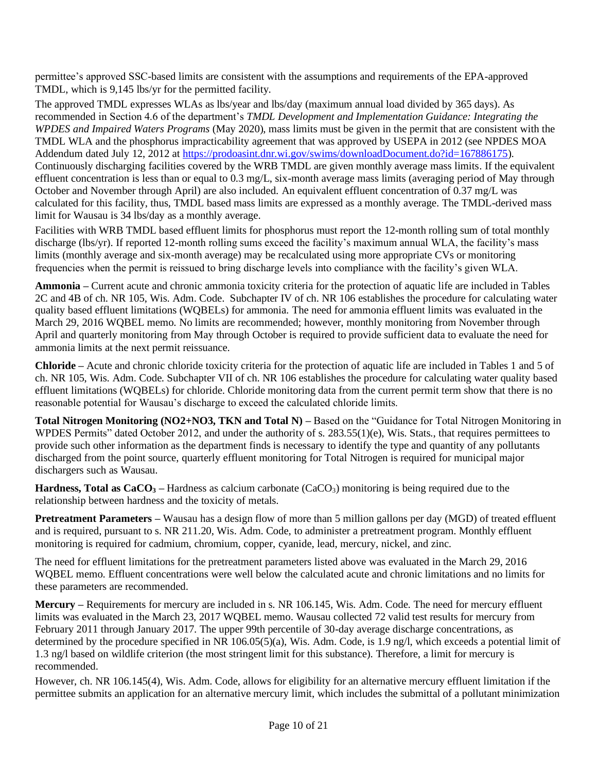permittee's approved SSC-based limits are consistent with the assumptions and requirements of the EPA-approved TMDL, which is 9,145 lbs/yr for the permitted facility.

The approved TMDL expresses WLAs as lbs/year and lbs/day (maximum annual load divided by 365 days). As recommended in Section 4.6 of the department's *TMDL Development and Implementation Guidance: Integrating the WPDES and Impaired Waters Programs* (May 2020), mass limits must be given in the permit that are consistent with the TMDL WLA and the phosphorus impracticability agreement that was approved by USEPA in 2012 (see NPDES MOA Addendum dated July 12, 2012 at [https://prodoasint.dnr.wi.gov/swims/downloadDocument.do?id=167886175\)](https://prodoasint.dnr.wi.gov/swims/downloadDocument.do?id=167886175). Continuously discharging facilities covered by the WRB TMDL are given monthly average mass limits. If the equivalent effluent concentration is less than or equal to 0.3 mg/L, six-month average mass limits (averaging period of May through October and November through April) are also included. An equivalent effluent concentration of 0.37 mg/L was calculated for this facility, thus, TMDL based mass limits are expressed as a monthly average. The TMDL-derived mass limit for Wausau is 34 lbs/day as a monthly average.

Facilities with WRB TMDL based effluent limits for phosphorus must report the 12-month rolling sum of total monthly discharge (lbs/yr). If reported 12-month rolling sums exceed the facility's maximum annual WLA, the facility's mass limits (monthly average and six-month average) may be recalculated using more appropriate CVs or monitoring frequencies when the permit is reissued to bring discharge levels into compliance with the facility's given WLA.

**Ammonia –** Current acute and chronic ammonia toxicity criteria for the protection of aquatic life are included in Tables 2C and 4B of ch. NR 105, Wis. Adm. Code. Subchapter IV of ch. NR 106 establishes the procedure for calculating water quality based effluent limitations (WQBELs) for ammonia. The need for ammonia effluent limits was evaluated in the March 29, 2016 WQBEL memo. No limits are recommended; however, monthly monitoring from November through April and quarterly monitoring from May through October is required to provide sufficient data to evaluate the need for ammonia limits at the next permit reissuance.

**Chloride –** Acute and chronic chloride toxicity criteria for the protection of aquatic life are included in Tables 1 and 5 of ch. NR 105, Wis. Adm. Code. Subchapter VII of ch. NR 106 establishes the procedure for calculating water quality based effluent limitations (WQBELs) for chloride. Chloride monitoring data from the current permit term show that there is no reasonable potential for Wausau's discharge to exceed the calculated chloride limits.

**Total Nitrogen Monitoring (NO2+NO3, TKN and Total N)** – Based on the "Guidance for Total Nitrogen Monitoring in WPDES Permits" dated October 2012, and under the authority of s. 283.55(1)(e), Wis. Stats., that requires permittees to provide such other information as the department finds is necessary to identify the type and quantity of any pollutants discharged from the point source, quarterly effluent monitoring for Total Nitrogen is required for municipal major dischargers such as Wausau.

**Hardness, Total as CaCO<sup>3</sup> –** Hardness as calcium carbonate (CaCO3) monitoring is being required due to the relationship between hardness and the toxicity of metals.

**Pretreatment Parameters –** Wausau has a design flow of more than 5 million gallons per day (MGD) of treated effluent and is required, pursuant to s. NR 211.20, Wis. Adm. Code, to administer a pretreatment program. Monthly effluent monitoring is required for cadmium, chromium, copper, cyanide, lead, mercury, nickel, and zinc.

The need for effluent limitations for the pretreatment parameters listed above was evaluated in the March 29, 2016 WQBEL memo. Effluent concentrations were well below the calculated acute and chronic limitations and no limits for these parameters are recommended.

**Mercury –** Requirements for mercury are included in s. NR 106.145, Wis. Adm. Code. The need for mercury effluent limits was evaluated in the March 23, 2017 WQBEL memo. Wausau collected 72 valid test results for mercury from February 2011 through January 2017. The upper 99th percentile of 30-day average discharge concentrations, as determined by the procedure specified in NR 106.05(5)(a), Wis. Adm. Code, is 1.9 ng/l, which exceeds a potential limit of 1.3 ng/l based on wildlife criterion (the most stringent limit for this substance). Therefore, a limit for mercury is recommended.

However, ch. NR 106.145(4), Wis. Adm. Code, allows for eligibility for an alternative mercury effluent limitation if the permittee submits an application for an alternative mercury limit, which includes the submittal of a pollutant minimization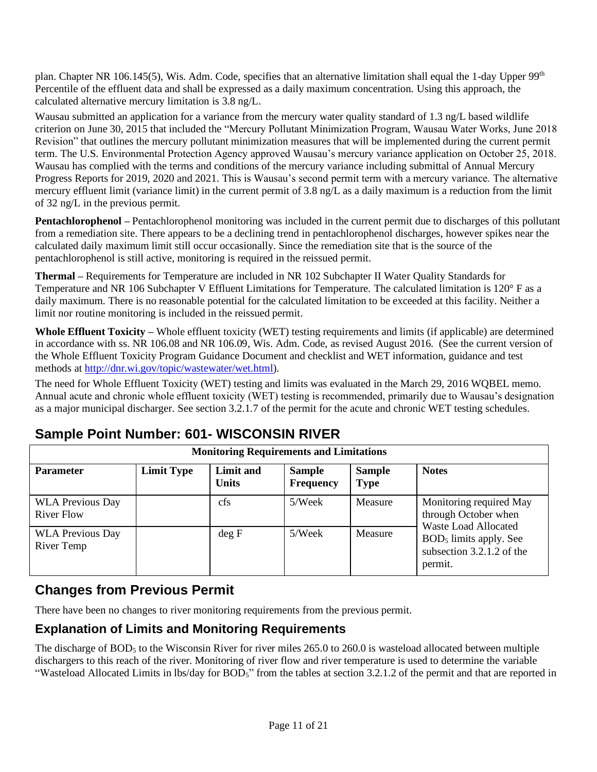plan. Chapter NR 106.145(5), Wis. Adm. Code, specifies that an alternative limitation shall equal the 1-day Upper  $99<sup>th</sup>$ Percentile of the effluent data and shall be expressed as a daily maximum concentration. Using this approach, the calculated alternative mercury limitation is 3.8 ng/L.

Wausau submitted an application for a variance from the mercury water quality standard of 1.3 ng/L based wildlife criterion on June 30, 2015 that included the "Mercury Pollutant Minimization Program, Wausau Water Works, June 2018 Revision" that outlines the mercury pollutant minimization measures that will be implemented during the current permit term. The U.S. Environmental Protection Agency approved Wausau's mercury variance application on October 25, 2018. Wausau has complied with the terms and conditions of the mercury variance including submittal of Annual Mercury Progress Reports for 2019, 2020 and 2021. This is Wausau's second permit term with a mercury variance. The alternative mercury effluent limit (variance limit) in the current permit of 3.8 ng/L as a daily maximum is a reduction from the limit of 32 ng/L in the previous permit.

**Pentachlorophenol –** Pentachlorophenol monitoring was included in the current permit due to discharges of this pollutant from a remediation site. There appears to be a declining trend in pentachlorophenol discharges, however spikes near the calculated daily maximum limit still occur occasionally. Since the remediation site that is the source of the pentachlorophenol is still active, monitoring is required in the reissued permit.

**Thermal –** Requirements for Temperature are included in NR 102 Subchapter II Water Quality Standards for Temperature and NR 106 Subchapter V Effluent Limitations for Temperature. The calculated limitation is 120° F as a daily maximum. There is no reasonable potential for the calculated limitation to be exceeded at this facility. Neither a limit nor routine monitoring is included in the reissued permit.

**Whole Effluent Toxicity –** Whole effluent toxicity (WET) testing requirements and limits (if applicable) are determined in accordance with ss. NR 106.08 and NR 106.09, Wis. Adm. Code, as revised August 2016. (See the current version of the Whole Effluent Toxicity Program Guidance Document and checklist and WET information, guidance and test methods a[t http://dnr.wi.gov/topic/wastewater/wet.html\)](http://dnr.wi.gov/topic/wastewater/wet.html).

The need for Whole Effluent Toxicity (WET) testing and limits was evaluated in the March 29, 2016 WQBEL memo. Annual acute and chronic whole effluent toxicity (WET) testing is recommended, primarily due to Wausau's designation as a major municipal discharger. See section 3.2.1.7 of the permit for the acute and chronic WET testing schedules.

### **Sample Point Number: 601- WISCONSIN RIVER**

| <b>Monitoring Requirements and Limitations</b> |                   |                                  |                                   |                              |                                                                                |  |
|------------------------------------------------|-------------------|----------------------------------|-----------------------------------|------------------------------|--------------------------------------------------------------------------------|--|
| <b>Parameter</b>                               | <b>Limit Type</b> | <b>Limit and</b><br><b>Units</b> | <b>Sample</b><br><b>Frequency</b> | <b>Sample</b><br><b>Type</b> | <b>Notes</b>                                                                   |  |
| <b>WLA Previous Day</b><br>River Flow          |                   | cfs                              | 5/Week                            | Measure                      | Monitoring required May<br>through October when<br><b>Waste Load Allocated</b> |  |
| <b>WLA Previous Day</b><br>River Temp          |                   | deg F                            | 5/Week                            | Measure                      | $BOD5$ limits apply. See<br>subsection $3.2.1.2$ of the<br>permit.             |  |

### **Changes from Previous Permit**

There have been no changes to river monitoring requirements from the previous permit.

### **Explanation of Limits and Monitoring Requirements**

The discharge of BOD<sub>5</sub> to the Wisconsin River for river miles 265.0 to 260.0 is wasteload allocated between multiple dischargers to this reach of the river. Monitoring of river flow and river temperature is used to determine the variable "Wasteload Allocated Limits in lbs/day for BOD<sub>5</sub>" from the tables at section 3.2.1.2 of the permit and that are reported in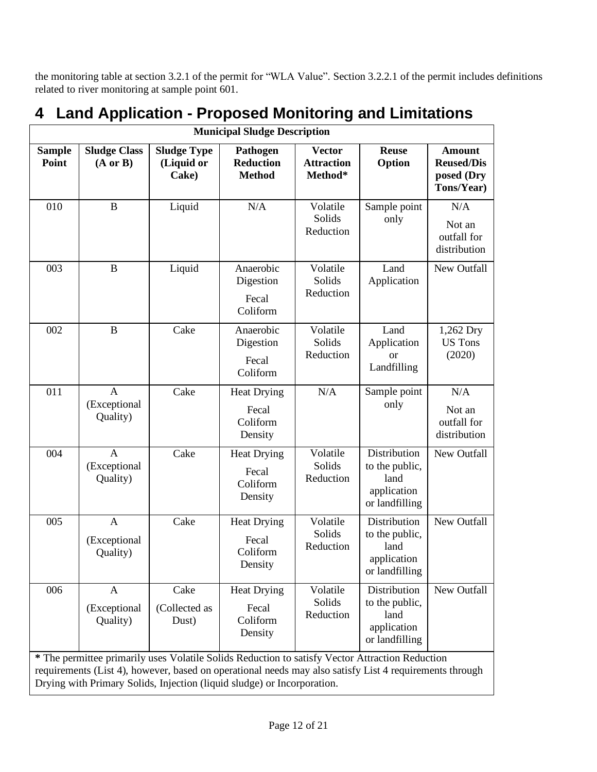the monitoring table at section 3.2.1 of the permit for "WLA Value". Section 3.2.2.1 of the permit includes definitions related to river monitoring at sample point 601.

| <b>Municipal Sludge Description</b> |                                            |                                           |                                                                                                                                                                                                                                                                                       |                                               |                                                                         |                                                                |  |  |
|-------------------------------------|--------------------------------------------|-------------------------------------------|---------------------------------------------------------------------------------------------------------------------------------------------------------------------------------------------------------------------------------------------------------------------------------------|-----------------------------------------------|-------------------------------------------------------------------------|----------------------------------------------------------------|--|--|
| <b>Sample</b><br>Point              | <b>Sludge Class</b><br>$(A \text{ or } B)$ | <b>Sludge Type</b><br>(Liquid or<br>Cake) | Pathogen<br><b>Reduction</b><br><b>Method</b>                                                                                                                                                                                                                                         | <b>Vector</b><br><b>Attraction</b><br>Method* | <b>Reuse</b><br>Option                                                  | <b>Amount</b><br><b>Reused/Dis</b><br>posed (Dry<br>Tons/Year) |  |  |
| 010                                 | $\bf{B}$                                   | Liquid                                    | N/A                                                                                                                                                                                                                                                                                   | Volatile<br>Solids<br>Reduction               | Sample point<br>only                                                    | N/A<br>Not an<br>outfall for<br>distribution                   |  |  |
| 003                                 | $\bf{B}$                                   | Liquid                                    | Anaerobic<br>Digestion<br>Fecal<br>Coliform                                                                                                                                                                                                                                           | Volatile<br>Solids<br>Reduction               | Land<br>Application                                                     | New Outfall                                                    |  |  |
| 002                                 | $\bf{B}$                                   | Cake                                      | Anaerobic<br>Digestion<br>Fecal<br>Coliform                                                                                                                                                                                                                                           | Volatile<br>Solids<br>Reduction               | Land<br>Application<br><sub>or</sub><br>Landfilling                     | 1,262 Dry<br><b>US Tons</b><br>(2020)                          |  |  |
| 011                                 | $\mathbf{A}$<br>(Exceptional<br>Quality)   | Cake                                      | <b>Heat Drying</b><br>Fecal<br>Coliform<br>Density                                                                                                                                                                                                                                    | N/A                                           | Sample point<br>only                                                    | N/A<br>Not an<br>outfall for<br>distribution                   |  |  |
| 004                                 | $\overline{A}$<br>(Exceptional<br>Quality) | Cake                                      | <b>Heat Drying</b><br>Fecal<br>Coliform<br>Density                                                                                                                                                                                                                                    | Volatile<br>Solids<br>Reduction               | Distribution<br>to the public,<br>land<br>application<br>or landfilling | New Outfall                                                    |  |  |
| 005                                 | $\mathbf{A}$<br>(Exceptional<br>Quality)   | Cake                                      | <b>Heat Drying</b><br>Fecal<br>Coliform<br>Density                                                                                                                                                                                                                                    | Volatile<br>Solids<br>Reduction               | Distribution<br>to the public,<br>land<br>application<br>or landfilling | New Outfall                                                    |  |  |
| 006                                 | $\mathbf{A}$<br>(Exceptional<br>Quality)   | Cake<br>(Collected as<br>Dust)            | <b>Heat Drying</b><br>Fecal<br>Coliform<br>Density                                                                                                                                                                                                                                    | Volatile<br>Solids<br>Reduction               | Distribution<br>to the public,<br>land<br>application<br>or landfilling | New Outfall                                                    |  |  |
|                                     |                                            |                                           | * The permittee primarily uses Volatile Solids Reduction to satisfy Vector Attraction Reduction<br>requirements (List 4), however, based on operational needs may also satisfy List 4 requirements through<br>Drying with Primary Solids, Injection (liquid sludge) or Incorporation. |                                               |                                                                         |                                                                |  |  |

# **4 Land Application - Proposed Monitoring and Limitations**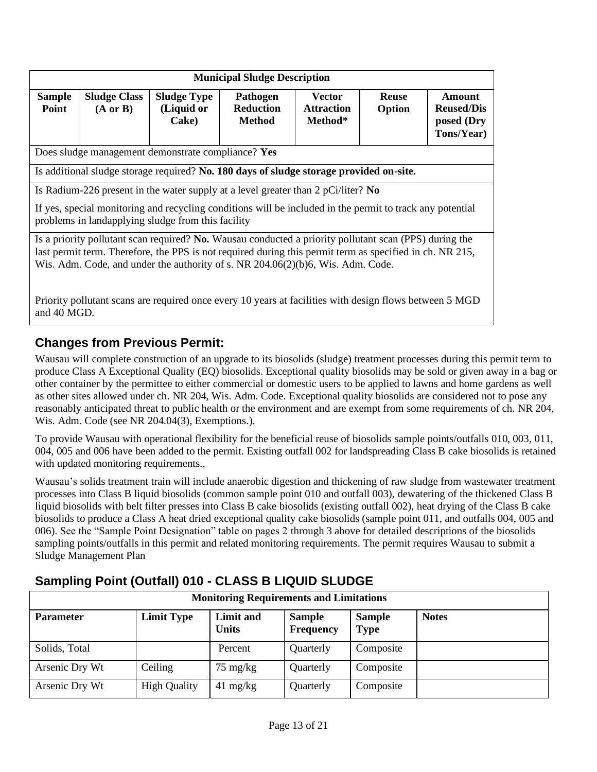| <b>Municipal Sludge Description</b>                                                                                                                                                                                                                                                                   |                                            |                                                    |                                                                                                         |                                               |                        |                                                         |  |  |
|-------------------------------------------------------------------------------------------------------------------------------------------------------------------------------------------------------------------------------------------------------------------------------------------------------|--------------------------------------------|----------------------------------------------------|---------------------------------------------------------------------------------------------------------|-----------------------------------------------|------------------------|---------------------------------------------------------|--|--|
| <b>Sample</b><br>Point                                                                                                                                                                                                                                                                                | <b>Sludge Class</b><br>$(A \text{ or } B)$ | <b>Sludge Type</b><br>(Liquid or<br>Cake)          | <b>Pathogen</b><br><b>Reduction</b><br><b>Method</b>                                                    | <b>Vector</b><br><b>Attraction</b><br>Method* | <b>Reuse</b><br>Option | Amount<br><b>Reused/Dis</b><br>posed (Dry<br>Tons/Year) |  |  |
|                                                                                                                                                                                                                                                                                                       |                                            | Does sludge management demonstrate compliance? Yes |                                                                                                         |                                               |                        |                                                         |  |  |
|                                                                                                                                                                                                                                                                                                       |                                            |                                                    | Is additional sludge storage required? No. 180 days of sludge storage provided on-site.                 |                                               |                        |                                                         |  |  |
| Is Radium-226 present in the water supply at a level greater than 2 pCi/liter? No<br>If yes, special monitoring and recycling conditions will be included in the permit to track any potential<br>problems in landapplying sludge from this facility                                                  |                                            |                                                    |                                                                                                         |                                               |                        |                                                         |  |  |
| Is a priority pollutant scan required? No. Wausau conducted a priority pollutant scan (PPS) during the<br>last permit term. Therefore, the PPS is not required during this permit term as specified in ch. NR 215,<br>Wis. Adm. Code, and under the authority of s. NR 204.06(2)(b)6, Wis. Adm. Code. |                                            |                                                    |                                                                                                         |                                               |                        |                                                         |  |  |
| and 40 MGD.                                                                                                                                                                                                                                                                                           |                                            |                                                    | Priority pollutant scans are required once every 10 years at facilities with design flows between 5 MGD |                                               |                        |                                                         |  |  |

### **Changes from Previous Permit:**

Wausau will complete construction of an upgrade to its biosolids (sludge) treatment processes during this permit term to produce Class A Exceptional Quality (EQ) biosolids. Exceptional quality biosolids may be sold or given away in a bag or other container by the permittee to either commercial or domestic users to be applied to lawns and home gardens as well as other sites allowed under ch. NR 204, Wis. Adm. Code. Exceptional quality biosolids are considered not to pose any reasonably anticipated threat to public health or the environment and are exempt from some requirements of ch. NR 204, Wis. Adm. Code (see NR 204.04(3), Exemptions.).

To provide Wausau with operational flexibility for the beneficial reuse of biosolids sample points/outfalls 010, 003, 011, 004, 005 and 006 have been added to the permit. Existing outfall 002 for landspreading Class B cake biosolids is retained with updated monitoring requirements.,

Wausau's solids treatment train will include anaerobic digestion and thickening of raw sludge from wastewater treatment processes into Class B liquid biosolids (common sample point 010 and outfall 003), dewatering of the thickened Class B liquid biosolids with belt filter presses into Class B cake biosolids (existing outfall 002), heat drying of the Class B cake biosolids to produce a Class A heat dried exceptional quality cake biosolids (sample point 011, and outfalls 004, 005 and 006). See the "Sample Point Designation" table on pages 2 through 3 above for detailed descriptions of the biosolids sampling points/outfalls in this permit and related monitoring requirements. The permit requires Wausau to submit a Sludge Management Plan

| <b>Monitoring Requirements and Limitations</b> |                     |                           |                                   |                              |              |  |
|------------------------------------------------|---------------------|---------------------------|-----------------------------------|------------------------------|--------------|--|
| <b>Parameter</b>                               | <b>Limit Type</b>   | Limit and<br><b>Units</b> | <b>Sample</b><br><b>Frequency</b> | <b>Sample</b><br><b>Type</b> | <b>Notes</b> |  |
| Solids, Total                                  |                     | Percent                   | Quarterly                         | Composite                    |              |  |
| Arsenic Dry Wt                                 | Ceiling             | $75 \text{ mg/kg}$        | Quarterly                         | Composite                    |              |  |
| Arsenic Dry Wt                                 | <b>High Quality</b> | $41 \text{ mg/kg}$        | Quarterly                         | Composite                    |              |  |

### **Sampling Point (Outfall) 010 - CLASS B LIQUID SLUDGE**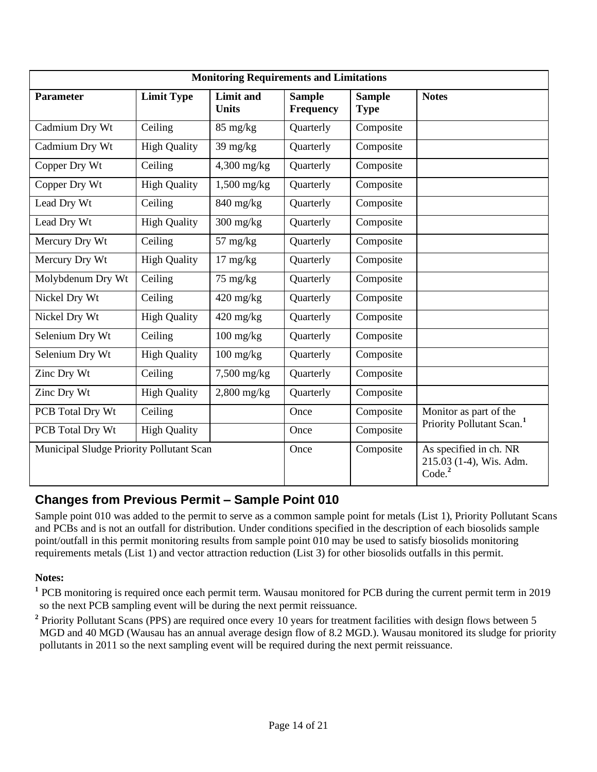| <b>Monitoring Requirements and Limitations</b> |                     |                                  |                            |                                                                         |                                       |  |
|------------------------------------------------|---------------------|----------------------------------|----------------------------|-------------------------------------------------------------------------|---------------------------------------|--|
| <b>Parameter</b>                               | <b>Limit Type</b>   | <b>Limit and</b><br><b>Units</b> | <b>Sample</b><br>Frequency | <b>Sample</b><br><b>Type</b>                                            | <b>Notes</b>                          |  |
| Cadmium Dry Wt                                 | Ceiling             | 85 mg/kg                         | Quarterly                  | Composite                                                               |                                       |  |
| Cadmium Dry Wt                                 | <b>High Quality</b> | $39 \text{ mg/kg}$               | Quarterly                  | Composite                                                               |                                       |  |
| Copper Dry Wt                                  | Ceiling             | 4,300 mg/kg                      | Quarterly                  | Composite                                                               |                                       |  |
| Copper Dry Wt                                  | <b>High Quality</b> | $1,500$ mg/kg                    | Quarterly                  | Composite                                                               |                                       |  |
| Lead Dry Wt                                    | Ceiling             | $840$ mg/kg                      | Quarterly                  | Composite                                                               |                                       |  |
| Lead Dry Wt                                    | <b>High Quality</b> | $300$ mg/kg                      | Quarterly                  | Composite                                                               |                                       |  |
| Mercury Dry Wt                                 | Ceiling             | $57 \text{ mg/kg}$               | Quarterly                  | Composite                                                               |                                       |  |
| Mercury Dry Wt                                 | <b>High Quality</b> | $17 \text{ mg/kg}$               | Quarterly                  | Composite                                                               |                                       |  |
| Molybdenum Dry Wt                              | Ceiling             | 75 mg/kg                         | Quarterly                  | Composite                                                               |                                       |  |
| Nickel Dry Wt                                  | Ceiling             | $420$ mg/kg                      | Quarterly                  | Composite                                                               |                                       |  |
| Nickel Dry Wt                                  | <b>High Quality</b> | $420$ mg/kg                      | Quarterly                  | Composite                                                               |                                       |  |
| Selenium Dry Wt                                | Ceiling             | $100 \text{ mg/kg}$              | Quarterly                  | Composite                                                               |                                       |  |
| Selenium Dry Wt                                | <b>High Quality</b> | $100$ mg/kg                      | Quarterly                  | Composite                                                               |                                       |  |
| Zinc Dry Wt                                    | Ceiling             | $7,500$ mg/kg                    | Quarterly                  | Composite                                                               |                                       |  |
| Zinc Dry Wt                                    | <b>High Quality</b> | $2,800$ mg/kg                    | Quarterly                  | Composite                                                               |                                       |  |
| PCB Total Dry Wt                               | Ceiling             |                                  | Once                       | Composite                                                               | Monitor as part of the                |  |
| PCB Total Dry Wt                               | <b>High Quality</b> |                                  | Once                       | Composite                                                               | Priority Pollutant Scan. <sup>1</sup> |  |
| Municipal Sludge Priority Pollutant Scan       |                     | Once                             | Composite                  | As specified in ch. NR<br>215.03 (1-4), Wis. Adm.<br>Code. <sup>2</sup> |                                       |  |

### **Changes from Previous Permit – Sample Point 010**

Sample point 010 was added to the permit to serve as a common sample point for metals (List 1), Priority Pollutant Scans and PCBs and is not an outfall for distribution. Under conditions specified in the description of each biosolids sample point/outfall in this permit monitoring results from sample point 010 may be used to satisfy biosolids monitoring requirements metals (List 1) and vector attraction reduction (List 3) for other biosolids outfalls in this permit.

#### **Notes:**

<sup>1</sup> PCB monitoring is required once each permit term. Wausau monitored for PCB during the current permit term in 2019 so the next PCB sampling event will be during the next permit reissuance.

<sup>2</sup> Priority Pollutant Scans (PPS) are required once every 10 years for treatment facilities with design flows between 5 MGD and 40 MGD (Wausau has an annual average design flow of 8.2 MGD.). Wausau monitored its sludge for priority pollutants in 2011 so the next sampling event will be required during the next permit reissuance.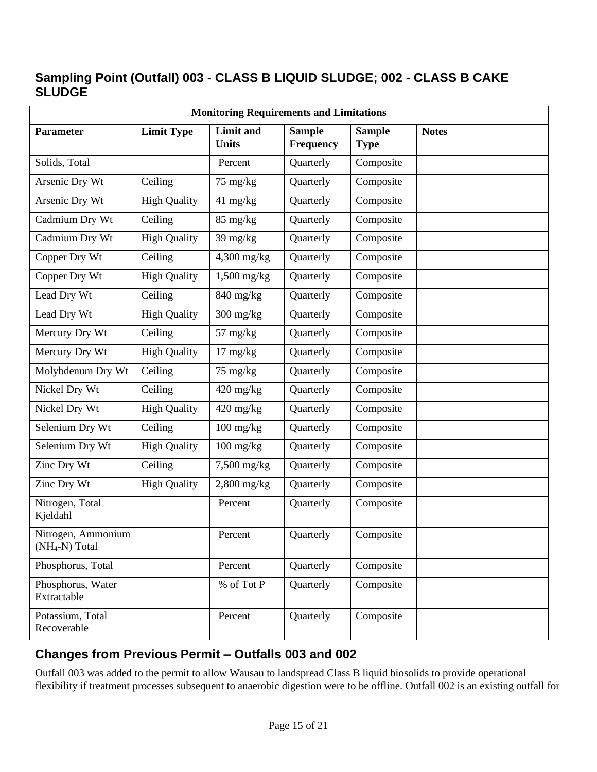### **Sampling Point (Outfall) 003 - CLASS B LIQUID SLUDGE; 002 - CLASS B CAKE SLUDGE**

| <b>Monitoring Requirements and Limitations</b>   |                     |                                  |                                   |                              |              |
|--------------------------------------------------|---------------------|----------------------------------|-----------------------------------|------------------------------|--------------|
| <b>Parameter</b>                                 | <b>Limit Type</b>   | <b>Limit</b> and<br><b>Units</b> | <b>Sample</b><br><b>Frequency</b> | <b>Sample</b><br><b>Type</b> | <b>Notes</b> |
| Solids, Total                                    |                     | Percent                          | Quarterly                         | Composite                    |              |
| Arsenic Dry Wt                                   | Ceiling             | 75 mg/kg                         | Quarterly                         | Composite                    |              |
| Arsenic Dry Wt                                   | <b>High Quality</b> | 41 mg/kg                         | Quarterly                         | Composite                    |              |
| Cadmium Dry Wt                                   | Ceiling             | 85 mg/kg                         | Quarterly                         | Composite                    |              |
| Cadmium Dry Wt                                   | <b>High Quality</b> | 39 mg/kg                         | Quarterly                         | Composite                    |              |
| Copper Dry Wt                                    | Ceiling             | 4,300 mg/kg                      | Quarterly                         | Composite                    |              |
| Copper Dry Wt                                    | <b>High Quality</b> | $1,500$ mg/kg                    | Quarterly                         | Composite                    |              |
| Lead Dry Wt                                      | Ceiling             | $840$ mg/kg                      | Quarterly                         | Composite                    |              |
| Lead Dry Wt                                      | <b>High Quality</b> | $300$ mg/kg                      | Quarterly                         | Composite                    |              |
| Mercury Dry Wt                                   | Ceiling             | $57 \text{ mg/kg}$               | Quarterly                         | Composite                    |              |
| Mercury Dry Wt                                   | <b>High Quality</b> | $17 \text{ mg/kg}$               | Quarterly                         | Composite                    |              |
| Molybdenum Dry Wt                                | Ceiling             | 75 mg/kg                         | Quarterly                         | Composite                    |              |
| Nickel Dry Wt                                    | Ceiling             | 420 mg/kg                        | Quarterly                         | Composite                    |              |
| Nickel Dry Wt                                    | <b>High Quality</b> | $420$ mg/kg                      | Quarterly                         | Composite                    |              |
| Selenium Dry Wt                                  | Ceiling             | $100$ mg/kg                      | Quarterly                         | Composite                    |              |
| Selenium Dry Wt                                  | <b>High Quality</b> | $100$ mg/kg                      | Quarterly                         | Composite                    |              |
| Zinc Dry Wt                                      | Ceiling             | 7,500 mg/kg                      | Quarterly                         | Composite                    |              |
| Zinc Dry Wt                                      | <b>High Quality</b> | $2,800$ mg/kg                    | Quarterly                         | Composite                    |              |
| Nitrogen, Total<br>Kjeldahl                      |                     | Percent                          | Quarterly                         | Composite                    |              |
| Nitrogen, Ammonium<br>(NH <sub>4</sub> -N) Total |                     | Percent                          | Quarterly                         | Composite                    |              |
| Phosphorus, Total                                |                     | Percent                          | Quarterly                         | Composite                    |              |
| Phosphorus, Water<br>Extractable                 |                     | % of Tot P                       | Quarterly                         | Composite                    |              |
| Potassium, Total<br>Recoverable                  |                     | Percent                          | Quarterly                         | Composite                    |              |

### **Changes from Previous Permit – Outfalls 003 and 002**

Outfall 003 was added to the permit to allow Wausau to landspread Class B liquid biosolids to provide operational flexibility if treatment processes subsequent to anaerobic digestion were to be offline. Outfall 002 is an existing outfall for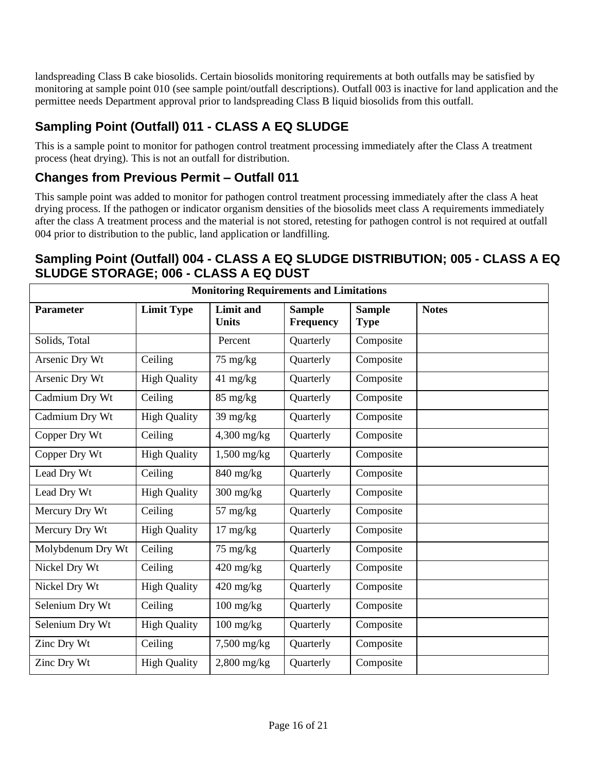landspreading Class B cake biosolids. Certain biosolids monitoring requirements at both outfalls may be satisfied by monitoring at sample point 010 (see sample point/outfall descriptions). Outfall 003 is inactive for land application and the permittee needs Department approval prior to landspreading Class B liquid biosolids from this outfall.

### **Sampling Point (Outfall) 011 - CLASS A EQ SLUDGE**

This is a sample point to monitor for pathogen control treatment processing immediately after the Class A treatment process (heat drying). This is not an outfall for distribution.

### **Changes from Previous Permit – Outfall 011**

This sample point was added to monitor for pathogen control treatment processing immediately after the class A heat drying process. If the pathogen or indicator organism densities of the biosolids meet class A requirements immediately after the class A treatment process and the material is not stored, retesting for pathogen control is not required at outfall 004 prior to distribution to the public, land application or landfilling.

### **Sampling Point (Outfall) 004 - CLASS A EQ SLUDGE DISTRIBUTION; 005 - CLASS A EQ SLUDGE STORAGE; 006 - CLASS A EQ DUST**

| <b>Monitoring Requirements and Limitations</b> |                     |                                  |                            |                              |              |
|------------------------------------------------|---------------------|----------------------------------|----------------------------|------------------------------|--------------|
| <b>Parameter</b>                               | <b>Limit Type</b>   | <b>Limit and</b><br><b>Units</b> | <b>Sample</b><br>Frequency | <b>Sample</b><br><b>Type</b> | <b>Notes</b> |
| Solids, Total                                  |                     | Percent                          | Quarterly                  | Composite                    |              |
| Arsenic Dry Wt                                 | Ceiling             | 75 mg/kg                         | Quarterly                  | Composite                    |              |
| Arsenic Dry Wt                                 | <b>High Quality</b> | $41 \text{ mg/kg}$               | Quarterly                  | Composite                    |              |
| Cadmium Dry Wt                                 | Ceiling             | 85 mg/kg                         | Quarterly                  | Composite                    |              |
| Cadmium Dry Wt                                 | <b>High Quality</b> | 39 mg/kg                         | Quarterly                  | Composite                    |              |
| Copper Dry Wt                                  | Ceiling             | $4,300$ mg/kg                    | Quarterly                  | Composite                    |              |
| Copper Dry Wt                                  | <b>High Quality</b> | $1,500$ mg/kg                    | Quarterly                  | Composite                    |              |
| Lead Dry Wt                                    | Ceiling             | $840$ mg/kg                      | Quarterly                  | Composite                    |              |
| Lead Dry Wt                                    | <b>High Quality</b> | $300$ mg/kg                      | Quarterly                  | Composite                    |              |
| Mercury Dry Wt                                 | Ceiling             | $57 \text{ mg/kg}$               | Quarterly                  | Composite                    |              |
| Mercury Dry Wt                                 | <b>High Quality</b> | $17 \text{ mg/kg}$               | Quarterly                  | Composite                    |              |
| Molybdenum Dry Wt                              | Ceiling             | $75 \text{ mg/kg}$               | Quarterly                  | Composite                    |              |
| Nickel Dry Wt                                  | Ceiling             | $420 \text{ mg/kg}$              | Quarterly                  | Composite                    |              |
| Nickel Dry Wt                                  | <b>High Quality</b> | $420$ mg/kg                      | Quarterly                  | Composite                    |              |
| Selenium Dry Wt                                | Ceiling             | $100$ mg/kg                      | Quarterly                  | Composite                    |              |
| Selenium Dry Wt                                | <b>High Quality</b> | $100$ mg/kg                      | Quarterly                  | Composite                    |              |
| Zinc Dry Wt                                    | Ceiling             | $7,500$ mg/kg                    | Quarterly                  | Composite                    |              |
| Zinc Dry Wt                                    | <b>High Quality</b> | $2,800$ mg/kg                    | Quarterly                  | Composite                    |              |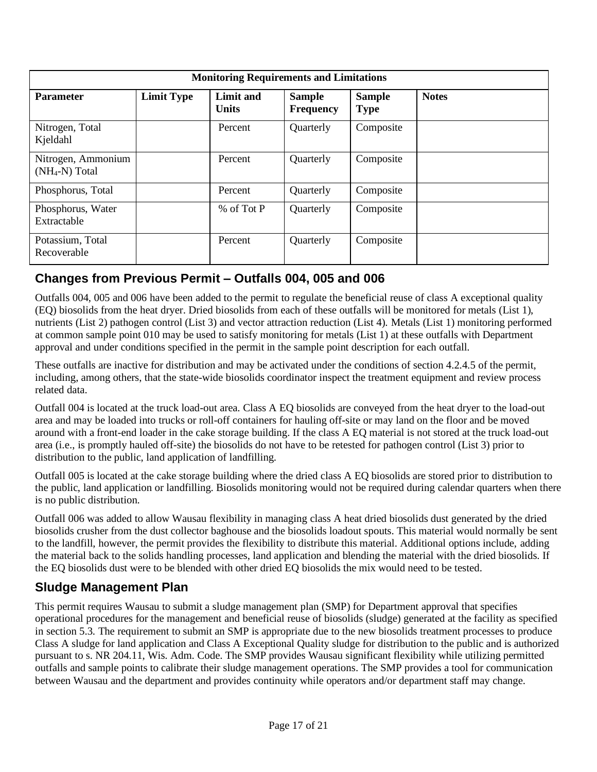| <b>Monitoring Requirements and Limitations</b> |                   |                           |                                   |                              |              |  |
|------------------------------------------------|-------------------|---------------------------|-----------------------------------|------------------------------|--------------|--|
| <b>Parameter</b>                               | <b>Limit Type</b> | Limit and<br><b>Units</b> | <b>Sample</b><br><b>Frequency</b> | <b>Sample</b><br><b>Type</b> | <b>Notes</b> |  |
| Nitrogen, Total<br>Kjeldahl                    |                   | Percent                   | Quarterly                         | Composite                    |              |  |
| Nitrogen, Ammonium<br>$(NH_4-N)$ Total         |                   | Percent                   | Quarterly                         | Composite                    |              |  |
| Phosphorus, Total                              |                   | Percent                   | Quarterly                         | Composite                    |              |  |
| Phosphorus, Water<br>Extractable               |                   | % of Tot P                | Quarterly                         | Composite                    |              |  |
| Potassium, Total<br>Recoverable                |                   | Percent                   | Quarterly                         | Composite                    |              |  |

### **Changes from Previous Permit – Outfalls 004, 005 and 006**

Outfalls 004, 005 and 006 have been added to the permit to regulate the beneficial reuse of class A exceptional quality (EQ) biosolids from the heat dryer. Dried biosolids from each of these outfalls will be monitored for metals (List 1), nutrients (List 2) pathogen control (List 3) and vector attraction reduction (List 4). Metals (List 1) monitoring performed at common sample point 010 may be used to satisfy monitoring for metals (List 1) at these outfalls with Department approval and under conditions specified in the permit in the sample point description for each outfall.

These outfalls are inactive for distribution and may be activated under the conditions of section 4.2.4.5 of the permit, including, among others, that the state-wide biosolids coordinator inspect the treatment equipment and review process related data.

Outfall 004 is located at the truck load-out area. Class A EQ biosolids are conveyed from the heat dryer to the load-out area and may be loaded into trucks or roll-off containers for hauling off-site or may land on the floor and be moved around with a front-end loader in the cake storage building. If the class A EQ material is not stored at the truck load-out area (i.e., is promptly hauled off-site) the biosolids do not have to be retested for pathogen control (List 3) prior to distribution to the public, land application of landfilling.

Outfall 005 is located at the cake storage building where the dried class A EQ biosolids are stored prior to distribution to the public, land application or landfilling. Biosolids monitoring would not be required during calendar quarters when there is no public distribution.

Outfall 006 was added to allow Wausau flexibility in managing class A heat dried biosolids dust generated by the dried biosolids crusher from the dust collector baghouse and the biosolids loadout spouts. This material would normally be sent to the landfill, however, the permit provides the flexibility to distribute this material. Additional options include, adding the material back to the solids handling processes, land application and blending the material with the dried biosolids. If the EQ biosolids dust were to be blended with other dried EQ biosolids the mix would need to be tested.

### **Sludge Management Plan**

This permit requires Wausau to submit a sludge management plan (SMP) for Department approval that specifies operational procedures for the management and beneficial reuse of biosolids (sludge) generated at the facility as specified in section 5.3. The requirement to submit an SMP is appropriate due to the new biosolids treatment processes to produce Class A sludge for land application and Class A Exceptional Quality sludge for distribution to the public and is authorized pursuant to s. NR 204.11, Wis. Adm. Code. The SMP provides Wausau significant flexibility while utilizing permitted outfalls and sample points to calibrate their sludge management operations. The SMP provides a tool for communication between Wausau and the department and provides continuity while operators and/or department staff may change.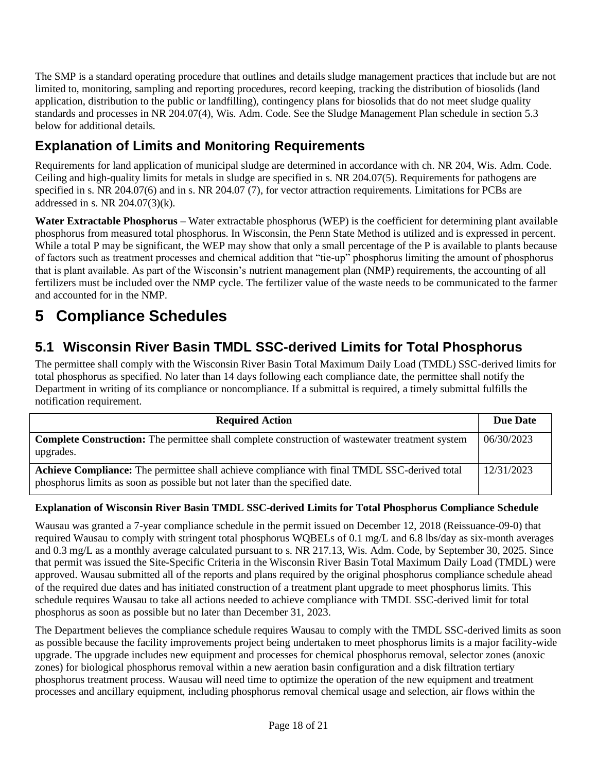The SMP is a standard operating procedure that outlines and details sludge management practices that include but are not limited to, monitoring, sampling and reporting procedures, record keeping, tracking the distribution of biosolids (land application, distribution to the public or landfilling), contingency plans for biosolids that do not meet sludge quality standards and processes in NR 204.07(4), Wis. Adm. Code. See the Sludge Management Plan schedule in section 5.3 below for additional details.

## **Explanation of Limits and Monitoring Requirements**

Requirements for land application of municipal sludge are determined in accordance with ch. NR 204, Wis. Adm. Code. Ceiling and high-quality limits for metals in sludge are specified in s. NR 204.07(5). Requirements for pathogens are specified in s. NR 204.07(6) and in s. NR 204.07 (7), for vector attraction requirements. Limitations for PCBs are addressed in s. NR 204.07(3)(k).

**Water Extractable Phosphorus –** Water extractable phosphorus (WEP) is the coefficient for determining plant available phosphorus from measured total phosphorus. In Wisconsin, the Penn State Method is utilized and is expressed in percent. While a total P may be significant, the WEP may show that only a small percentage of the P is available to plants because of factors such as treatment processes and chemical addition that "tie-up" phosphorus limiting the amount of phosphorus that is plant available. As part of the Wisconsin's nutrient management plan (NMP) requirements, the accounting of all fertilizers must be included over the NMP cycle. The fertilizer value of the waste needs to be communicated to the farmer and accounted for in the NMP.

# **5 Compliance Schedules**

## **5.1 Wisconsin River Basin TMDL SSC-derived Limits for Total Phosphorus**

The permittee shall comply with the Wisconsin River Basin Total Maximum Daily Load (TMDL) SSC-derived limits for total phosphorus as specified. No later than 14 days following each compliance date, the permittee shall notify the Department in writing of its compliance or noncompliance. If a submittal is required, a timely submittal fulfills the notification requirement.

| <b>Required Action</b>                                                                                                                                                       | Due Date   |
|------------------------------------------------------------------------------------------------------------------------------------------------------------------------------|------------|
| <b>Complete Construction:</b> The permittee shall complete construction of was tewater treatment system<br>upgrades.                                                         | 06/30/2023 |
| Achieve Compliance: The permittee shall achieve compliance with final TMDL SSC-derived total<br>phosphorus limits as soon as possible but not later than the specified date. | 12/31/2023 |

#### **Explanation of Wisconsin River Basin TMDL SSC-derived Limits for Total Phosphorus Compliance Schedule**

Wausau was granted a 7-year compliance schedule in the permit issued on December 12, 2018 (Reissuance-09-0) that required Wausau to comply with stringent total phosphorus WQBELs of 0.1 mg/L and 6.8 lbs/day as six-month averages and 0.3 mg/L as a monthly average calculated pursuant to s. NR 217.13, Wis. Adm. Code, by September 30, 2025. Since that permit was issued the Site-Specific Criteria in the Wisconsin River Basin Total Maximum Daily Load (TMDL) were approved. Wausau submitted all of the reports and plans required by the original phosphorus compliance schedule ahead of the required due dates and has initiated construction of a treatment plant upgrade to meet phosphorus limits. This schedule requires Wausau to take all actions needed to achieve compliance with TMDL SSC-derived limit for total phosphorus as soon as possible but no later than December 31, 2023.

The Department believes the compliance schedule requires Wausau to comply with the TMDL SSC-derived limits as soon as possible because the facility improvements project being undertaken to meet phosphorus limits is a major facility-wide upgrade. The upgrade includes new equipment and processes for chemical phosphorus removal, selector zones (anoxic zones) for biological phosphorus removal within a new aeration basin configuration and a disk filtration tertiary phosphorus treatment process. Wausau will need time to optimize the operation of the new equipment and treatment processes and ancillary equipment, including phosphorus removal chemical usage and selection, air flows within the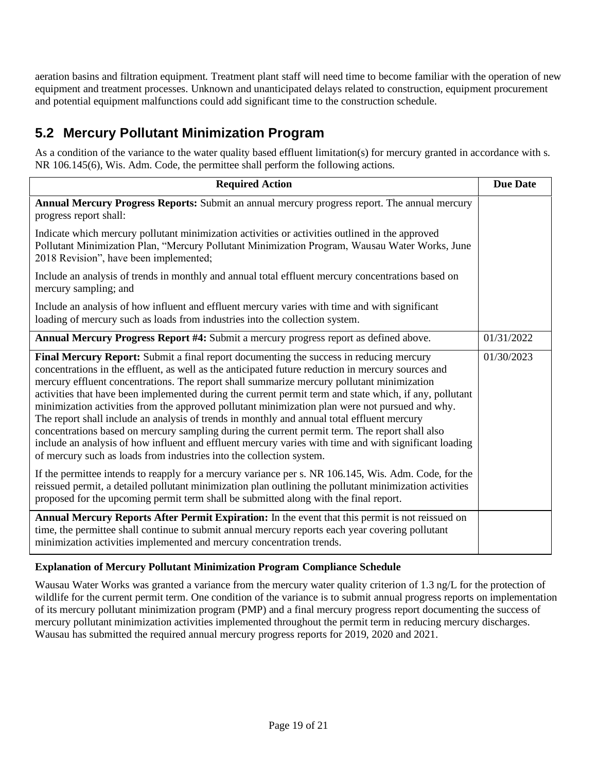aeration basins and filtration equipment. Treatment plant staff will need time to become familiar with the operation of new equipment and treatment processes. Unknown and unanticipated delays related to construction, equipment procurement and potential equipment malfunctions could add significant time to the construction schedule.

### **5.2 Mercury Pollutant Minimization Program**

As a condition of the variance to the water quality based effluent limitation(s) for mercury granted in accordance with s. NR 106.145(6), Wis. Adm. Code, the permittee shall perform the following actions.

| <b>Required Action</b>                                                                                                                                                                                                                                                                                                                                                                                                                                                                                                                                                                                                                                                                                                                                                                                                                                                                                                                                                                                                                                                                                           | <b>Due Date</b> |
|------------------------------------------------------------------------------------------------------------------------------------------------------------------------------------------------------------------------------------------------------------------------------------------------------------------------------------------------------------------------------------------------------------------------------------------------------------------------------------------------------------------------------------------------------------------------------------------------------------------------------------------------------------------------------------------------------------------------------------------------------------------------------------------------------------------------------------------------------------------------------------------------------------------------------------------------------------------------------------------------------------------------------------------------------------------------------------------------------------------|-----------------|
| Annual Mercury Progress Reports: Submit an annual mercury progress report. The annual mercury<br>progress report shall:                                                                                                                                                                                                                                                                                                                                                                                                                                                                                                                                                                                                                                                                                                                                                                                                                                                                                                                                                                                          |                 |
| Indicate which mercury pollutant minimization activities or activities outlined in the approved<br>Pollutant Minimization Plan, "Mercury Pollutant Minimization Program, Wausau Water Works, June<br>2018 Revision", have been implemented;                                                                                                                                                                                                                                                                                                                                                                                                                                                                                                                                                                                                                                                                                                                                                                                                                                                                      |                 |
| Include an analysis of trends in monthly and annual total effluent mercury concentrations based on<br>mercury sampling; and                                                                                                                                                                                                                                                                                                                                                                                                                                                                                                                                                                                                                                                                                                                                                                                                                                                                                                                                                                                      |                 |
| Include an analysis of how influent and effluent mercury varies with time and with significant<br>loading of mercury such as loads from industries into the collection system.                                                                                                                                                                                                                                                                                                                                                                                                                                                                                                                                                                                                                                                                                                                                                                                                                                                                                                                                   |                 |
| Annual Mercury Progress Report #4: Submit a mercury progress report as defined above.                                                                                                                                                                                                                                                                                                                                                                                                                                                                                                                                                                                                                                                                                                                                                                                                                                                                                                                                                                                                                            | 01/31/2022      |
| Final Mercury Report: Submit a final report documenting the success in reducing mercury<br>concentrations in the effluent, as well as the anticipated future reduction in mercury sources and<br>mercury effluent concentrations. The report shall summarize mercury pollutant minimization<br>activities that have been implemented during the current permit term and state which, if any, pollutant<br>minimization activities from the approved pollutant minimization plan were not pursued and why.<br>The report shall include an analysis of trends in monthly and annual total effluent mercury<br>concentrations based on mercury sampling during the current permit term. The report shall also<br>include an analysis of how influent and effluent mercury varies with time and with significant loading<br>of mercury such as loads from industries into the collection system.<br>If the permittee intends to reapply for a mercury variance per s. NR 106.145, Wis. Adm. Code, for the<br>reissued permit, a detailed pollutant minimization plan outlining the pollutant minimization activities | 01/30/2023      |
| proposed for the upcoming permit term shall be submitted along with the final report.                                                                                                                                                                                                                                                                                                                                                                                                                                                                                                                                                                                                                                                                                                                                                                                                                                                                                                                                                                                                                            |                 |
| Annual Mercury Reports After Permit Expiration: In the event that this permit is not reissued on<br>time, the permittee shall continue to submit annual mercury reports each year covering pollutant<br>minimization activities implemented and mercury concentration trends.                                                                                                                                                                                                                                                                                                                                                                                                                                                                                                                                                                                                                                                                                                                                                                                                                                    |                 |

#### **Explanation of Mercury Pollutant Minimization Program Compliance Schedule**

Wausau Water Works was granted a variance from the mercury water quality criterion of 1.3 ng/L for the protection of wildlife for the current permit term. One condition of the variance is to submit annual progress reports on implementation of its mercury pollutant minimization program (PMP) and a final mercury progress report documenting the success of mercury pollutant minimization activities implemented throughout the permit term in reducing mercury discharges. Wausau has submitted the required annual mercury progress reports for 2019, 2020 and 2021.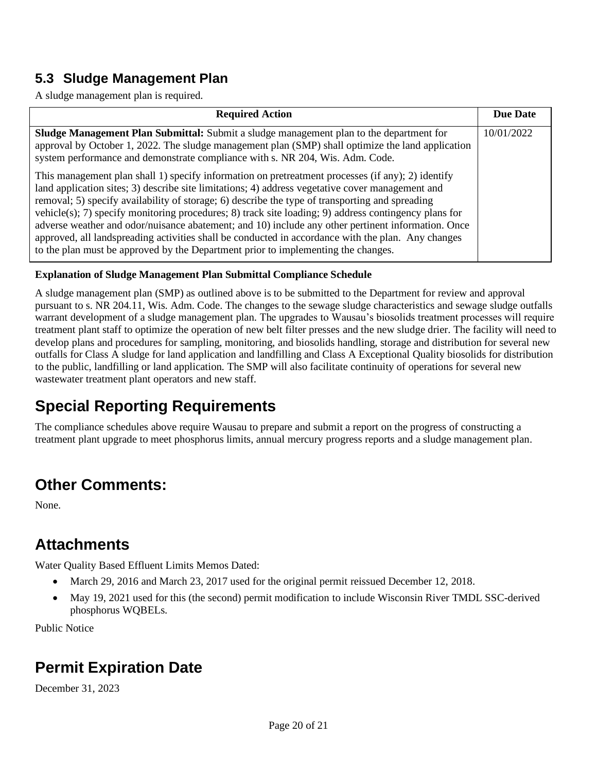### **5.3 Sludge Management Plan**

A sludge management plan is required.

| <b>Required Action</b>                                                                                                                                                                                                                                                                                                                                                                                                                                                                                                                                                                                                                                                                                             | <b>Due Date</b> |
|--------------------------------------------------------------------------------------------------------------------------------------------------------------------------------------------------------------------------------------------------------------------------------------------------------------------------------------------------------------------------------------------------------------------------------------------------------------------------------------------------------------------------------------------------------------------------------------------------------------------------------------------------------------------------------------------------------------------|-----------------|
| <b>Sludge Management Plan Submittal:</b> Submit a sludge management plan to the department for<br>approval by October 1, 2022. The sludge management plan (SMP) shall optimize the land application<br>system performance and demonstrate compliance with s. NR 204, Wis. Adm. Code.                                                                                                                                                                                                                                                                                                                                                                                                                               | 10/01/2022      |
| This management plan shall 1) specify information on pretreatment processes (if any); 2) identify<br>land application sites; 3) describe site limitations; 4) address vegetative cover management and<br>removal; 5) specify availability of storage; 6) describe the type of transporting and spreading<br>vehicle(s); 7) specify monitoring procedures; 8) track site loading; 9) address contingency plans for<br>adverse weather and odor/nuisance abatement; and 10) include any other pertinent information. Once<br>approved, all landspreading activities shall be conducted in accordance with the plan. Any changes<br>to the plan must be approved by the Department prior to implementing the changes. |                 |

#### **Explanation of Sludge Management Plan Submittal Compliance Schedule**

A sludge management plan (SMP) as outlined above is to be submitted to the Department for review and approval pursuant to s. NR 204.11, Wis. Adm. Code. The changes to the sewage sludge characteristics and sewage sludge outfalls warrant development of a sludge management plan. The upgrades to Wausau's biosolids treatment processes will require treatment plant staff to optimize the operation of new belt filter presses and the new sludge drier. The facility will need to develop plans and procedures for sampling, monitoring, and biosolids handling, storage and distribution for several new outfalls for Class A sludge for land application and landfilling and Class A Exceptional Quality biosolids for distribution to the public, landfilling or land application. The SMP will also facilitate continuity of operations for several new wastewater treatment plant operators and new staff.

# **Special Reporting Requirements**

The compliance schedules above require Wausau to prepare and submit a report on the progress of constructing a treatment plant upgrade to meet phosphorus limits, annual mercury progress reports and a sludge management plan.

# **Other Comments:**

None.

# **Attachments**

Water Quality Based Effluent Limits Memos Dated:

- March 29, 2016 and March 23, 2017 used for the original permit reissued December 12, 2018.
- May 19, 2021 used for this (the second) permit modification to include Wisconsin River TMDL SSC-derived phosphorus WQBELs.

Public Notice

# **Permit Expiration Date**

December 31, 2023